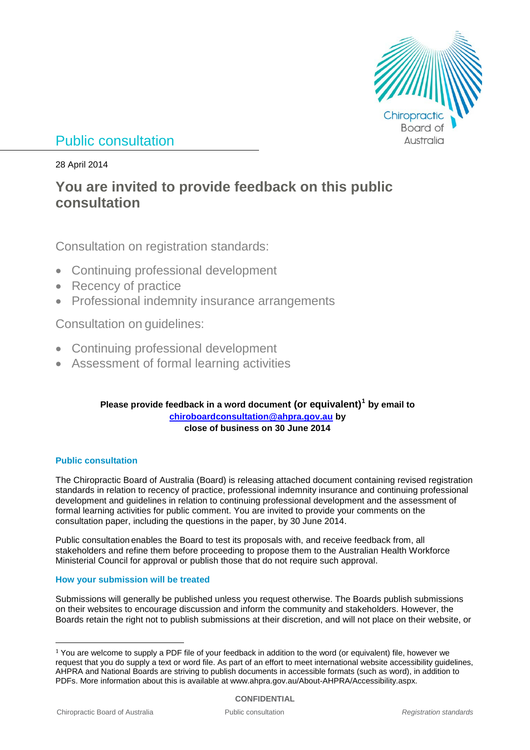

# Public consultation

28 April 2014

# **You are invited to provide feedback on this public consultation**

Consultation on registration standards:

- Continuing professional development
- Recency of practice
- Professional indemnity insurance arrangements

Consultation on guidelines:

- Continuing professional development
- Assessment of formal learning activities

### **Please provide feedback in a word document (or equivalent)[1](#page-0-0) by email to [chiroboardconsultation@ahpra.gov.au](mailto:chiroboardconsultation@ahpra.gov.au) by close of business on 30 June 2014**

### **Public consultation**

The Chiropractic Board of Australia (Board) is releasing attached document containing revised registration standards in relation to recency of practice, professional indemnity insurance and continuing professional development and guidelines in relation to continuing professional development and the assessment of formal learning activities for public comment. You are invited to provide your comments on the consultation paper, including the questions in the paper, by 30 June 2014.

Public consultation enables the Board to test its proposals with, and receive feedback from, all stakeholders and refine them before proceeding to propose them to the Australian Health Workforce Ministerial Council for approval or publish those that do not require such approval.

### **How your submission will be treated**

Submissions will generally be published unless you request otherwise. The Boards publish submissions on their websites to encourage discussion and inform the community and stakeholders. However, the Boards retain the right not to publish submissions at their discretion, and will not place on their website, or

<span id="page-0-0"></span><sup>&</sup>lt;sup>1</sup> You are welcome to supply a PDF file of your feedback in addition to the word (or equivalent) file, however we request that you do supply a text or word file. As part of an effort to meet international website accessibility guidelines, AHPRA and National Boards are striving to publish documents in accessible formats (such as word), in addition to PDFs. More information about this is available at www.ahpra.gov.au/About-AHPRA/Accessibility.aspx.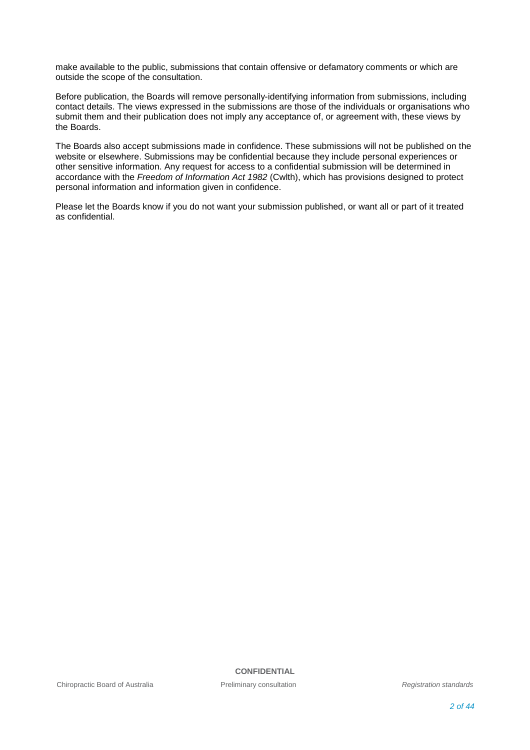make available to the public, submissions that contain offensive or defamatory comments or which are outside the scope of the consultation.

Before publication, the Boards will remove personally-identifying information from submissions, including contact details. The views expressed in the submissions are those of the individuals or organisations who submit them and their publication does not imply any acceptance of, or agreement with, these views by the Boards.

The Boards also accept submissions made in confidence. These submissions will not be published on the website or elsewhere. Submissions may be confidential because they include personal experiences or other sensitive information. Any request for access to a confidential submission will be determined in accordance with the *Freedom of Information Act 1982* (Cwlth), which has provisions designed to protect personal information and information given in confidence.

Please let the Boards know if you do not want your submission published, or want all or part of it treated as confidential.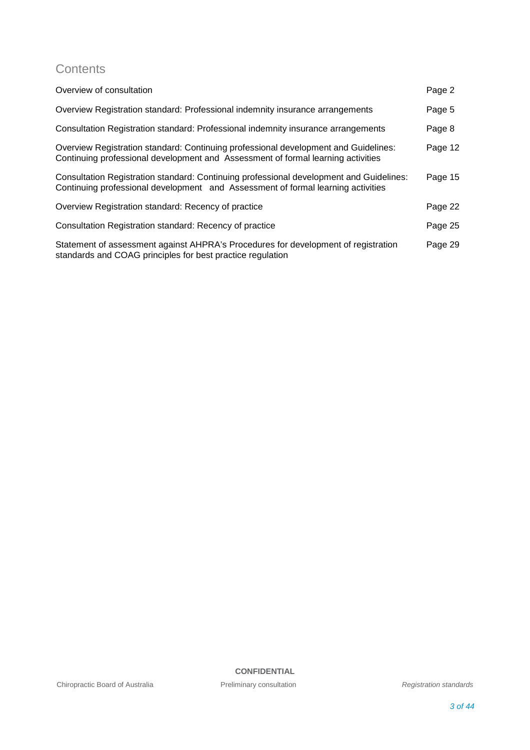## **Contents**

| Overview of consultation                                                                                                                                                    | Page 2  |
|-----------------------------------------------------------------------------------------------------------------------------------------------------------------------------|---------|
| Overview Registration standard: Professional indemnity insurance arrangements                                                                                               | Page 5  |
| Consultation Registration standard: Professional indemnity insurance arrangements                                                                                           | Page 8  |
| Overview Registration standard: Continuing professional development and Guidelines:<br>Continuing professional development and Assessment of formal learning activities     | Page 12 |
| Consultation Registration standard: Continuing professional development and Guidelines:<br>Continuing professional development and Assessment of formal learning activities | Page 15 |
| Overview Registration standard: Recency of practice                                                                                                                         | Page 22 |
| Consultation Registration standard: Recency of practice                                                                                                                     | Page 25 |
| Statement of assessment against AHPRA's Procedures for development of registration<br>standards and COAG principles for best practice regulation                            | Page 29 |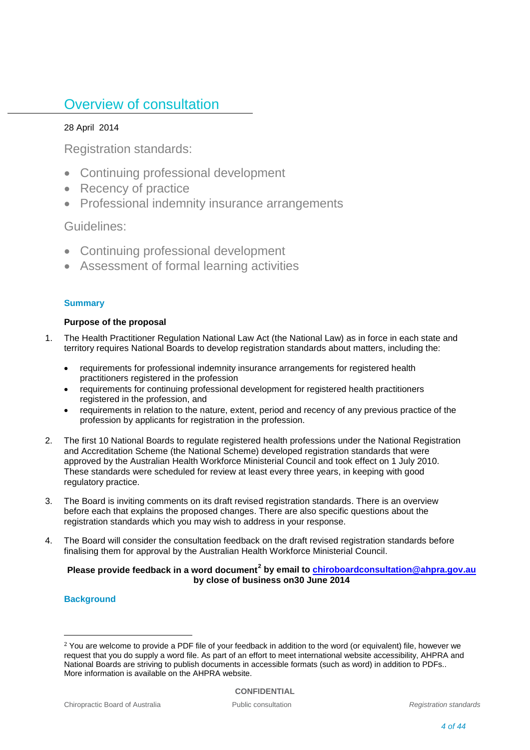# Overview of consultation

### 28 April 2014

Registration standards:

- Continuing professional development
- Recency of practice
- Professional indemnity insurance arrangements

### Guidelines:

- Continuing professional development
- Assessment of formal learning activities

### **Summary**

### **Purpose of the proposal**

- 1. The Health Practitioner Regulation National Law Act (the National Law) as in force in each state and territory requires National Boards to develop registration standards about matters, including the:
	- requirements for professional indemnity insurance arrangements for registered health practitioners registered in the profession
	- requirements for continuing professional development for registered health practitioners registered in the profession, and
	- requirements in relation to the nature, extent, period and recency of any previous practice of the profession by applicants for registration in the profession.
- 2. The first 10 National Boards to regulate registered health professions under the National Registration and Accreditation Scheme (the National Scheme) developed registration standards that were approved by the Australian Health Workforce Ministerial Council and took effect on 1 July 2010. These standards were scheduled for review at least every three years, in keeping with good regulatory practice.
- 3. The Board is inviting comments on its draft revised registration standards. There is an overview before each that explains the proposed changes. There are also specific questions about the registration standards which you may wish to address in your response.
- 4. The Board will consider the consultation feedback on the draft revised registration standards before finalising them for approval by the Australian Health Workforce Ministerial Council.

### **Please provide feedback in a word document[2](#page-3-0) by email to [chiroboardconsultation@ahpra.gov.au](mailto:chiroboardconsultation@ahpra.gov.au) by close of business on30 June 2014**

### **Background**

<span id="page-3-0"></span><sup>&</sup>lt;sup>2</sup> You are welcome to provide a PDF file of your feedback in addition to the word (or equivalent) file, however we request that you do supply a word file. As part of an effort to meet international website accessibility, AHPRA and National Boards are striving to publish documents in accessible formats (such as word) in addition to PDFs.. More information is available on the AHPRA website.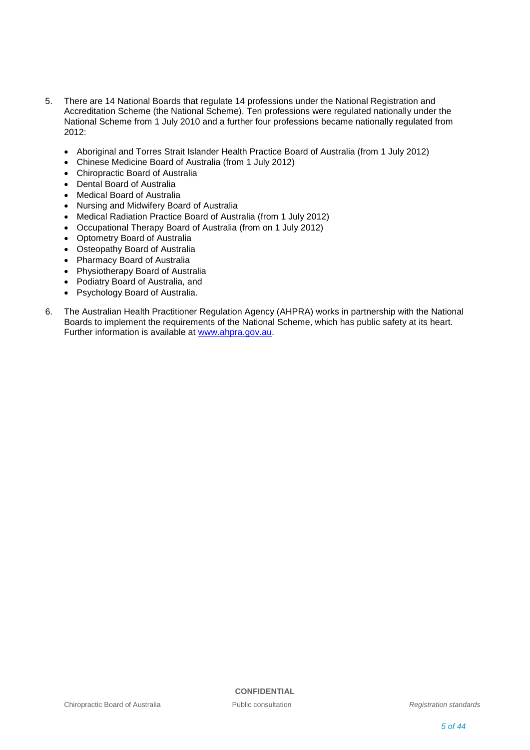- 5. There are 14 National Boards that regulate 14 professions under the National Registration and Accreditation Scheme (the National Scheme). Ten professions were regulated nationally under the National Scheme from 1 July 2010 and a further four professions became nationally regulated from 2012:
	- Aboriginal and Torres Strait Islander Health Practice Board of Australia (from 1 July 2012)
	- Chinese Medicine Board of Australia (from 1 July 2012)
	- Chiropractic Board of Australia
	- Dental Board of Australia
	- Medical Board of Australia
	- Nursing and Midwifery Board of Australia
	- Medical Radiation Practice Board of Australia (from 1 July 2012)
	- Occupational Therapy Board of Australia (from on 1 July 2012)
	- Optometry Board of Australia
	- Osteopathy Board of Australia
	- Pharmacy Board of Australia
	- Physiotherapy Board of Australia
	- Podiatry Board of Australia, and
	- Psychology Board of Australia.
- 6. The Australian Health Practitioner Regulation Agency (AHPRA) works in partnership with the National Boards to implement the requirements of the National Scheme, which has public safety at its heart. Further information is available at [www.ahpra.gov.au.](http://www.ahpra.gov.au/)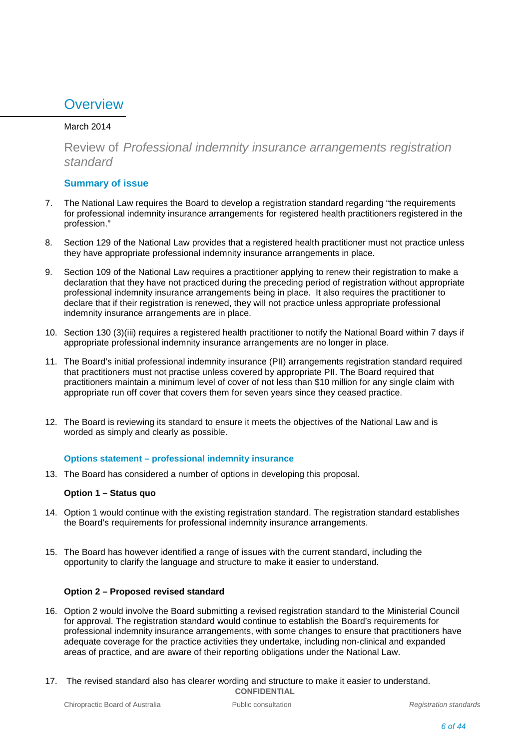# **Overview**

### March 2014

Review of *Professional indemnity insurance arrangements registration standard*

### **Summary of issue**

- 7. The National Law requires the Board to develop a registration standard regarding "the requirements for professional indemnity insurance arrangements for registered health practitioners registered in the profession."
- 8. Section 129 of the National Law provides that a registered health practitioner must not practice unless they have appropriate professional indemnity insurance arrangements in place.
- 9. Section 109 of the National Law requires a practitioner applying to renew their registration to make a declaration that they have not practiced during the preceding period of registration without appropriate professional indemnity insurance arrangements being in place. It also requires the practitioner to declare that if their registration is renewed, they will not practice unless appropriate professional indemnity insurance arrangements are in place.
- 10. Section 130 (3)(iii) requires a registered health practitioner to notify the National Board within 7 days if appropriate professional indemnity insurance arrangements are no longer in place.
- 11. The Board's initial professional indemnity insurance (PII) arrangements registration standard required that practitioners must not practise unless covered by appropriate PII. The Board required that practitioners maintain a minimum level of cover of not less than \$10 million for any single claim with appropriate run off cover that covers them for seven years since they ceased practice.
- 12. The Board is reviewing its standard to ensure it meets the objectives of the National Law and is worded as simply and clearly as possible.

### **Options statement – professional indemnity insurance**

13. The Board has considered a number of options in developing this proposal.

### **Option 1 – Status quo**

- 14. Option 1 would continue with the existing registration standard. The registration standard establishes the Board's requirements for professional indemnity insurance arrangements.
- 15. The Board has however identified a range of issues with the current standard, including the opportunity to clarify the language and structure to make it easier to understand.

### **Option 2 – Proposed revised standard**

- 16. Option 2 would involve the Board submitting a revised registration standard to the Ministerial Council for approval. The registration standard would continue to establish the Board's requirements for professional indemnity insurance arrangements, with some changes to ensure that practitioners have adequate coverage for the practice activities they undertake, including non-clinical and expanded areas of practice, and are aware of their reporting obligations under the National Law.
- **CONFIDENTIAL** 17. The revised standard also has clearer wording and structure to make it easier to understand.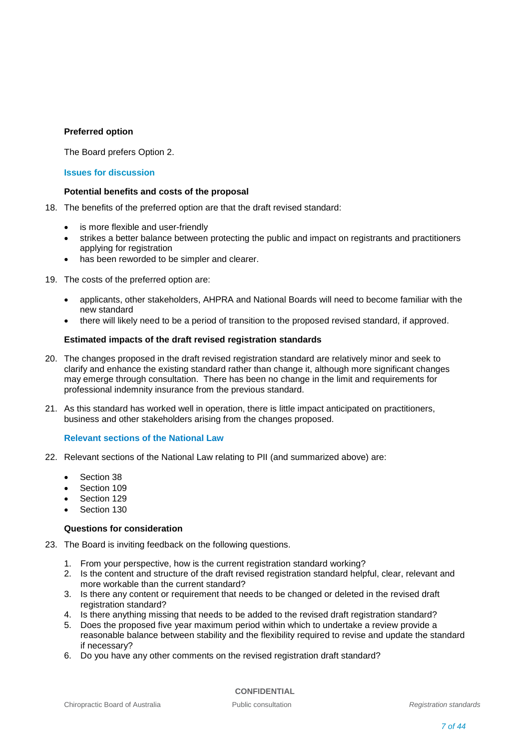### **Preferred option**

The Board prefers Option 2.

### **Issues for discussion**

### **Potential benefits and costs of the proposal**

- 18. The benefits of the preferred option are that the draft revised standard:
	- is more flexible and user-friendly
	- strikes a better balance between protecting the public and impact on registrants and practitioners applying for registration
	- has been reworded to be simpler and clearer.

19. The costs of the preferred option are:

- applicants, other stakeholders, AHPRA and National Boards will need to become familiar with the new standard
- there will likely need to be a period of transition to the proposed revised standard, if approved.

### **Estimated impacts of the draft revised registration standards**

- 20. The changes proposed in the draft revised registration standard are relatively minor and seek to clarify and enhance the existing standard rather than change it, although more significant changes may emerge through consultation. There has been no change in the limit and requirements for professional indemnity insurance from the previous standard.
- 21. As this standard has worked well in operation, there is little impact anticipated on practitioners, business and other stakeholders arising from the changes proposed.

### **Relevant sections of the National Law**

- 22. Relevant sections of the National Law relating to PII (and summarized above) are:
	- Section 38
	- Section 109
	- Section 129
	- Section 130

### **Questions for consideration**

- 23. The Board is inviting feedback on the following questions.
	- 1. From your perspective, how is the current registration standard working?
	- 2. Is the content and structure of the draft revised registration standard helpful, clear, relevant and more workable than the current standard?
	- 3. Is there any content or requirement that needs to be changed or deleted in the revised draft registration standard?
	- 4. Is there anything missing that needs to be added to the revised draft registration standard?
	- 5. Does the proposed five year maximum period within which to undertake a review provide a reasonable balance between stability and the flexibility required to revise and update the standard if necessary?
	- 6. Do you have any other comments on the revised registration draft standard?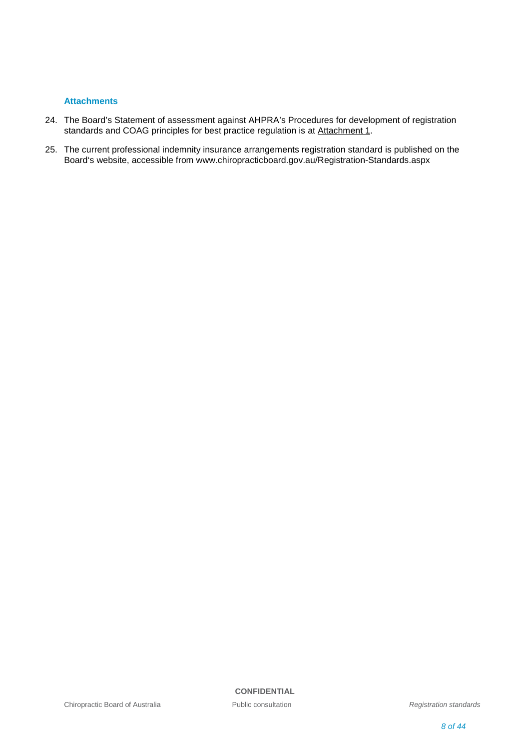### **Attachments**

- 24. The Board's Statement of assessment against AHPRA's Procedures for development of registration standards and COAG principles for best practice regulation is at Attachment 1.
- 25. The current professional indemnity insurance arrangements registration standard is published on the Board's website, accessible from www.chiropracticboard.gov.au/Registration-Standards.aspx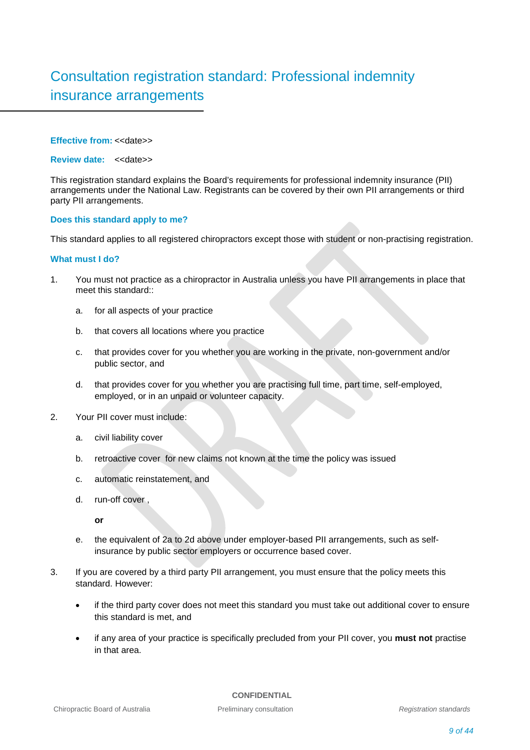# Consultation registration standard: Professional indemnity insurance arrangements

### **Effective from: << date>>**

### **Review date:** <<date>>

This registration standard explains the Board's requirements for professional indemnity insurance (PII) arrangements under the National Law. Registrants can be covered by their own PII arrangements or third party PII arrangements.

### **Does this standard apply to me?**

This standard applies to all registered chiropractors except those with student or non-practising registration.

### **What must I do?**

- 1. You must not practice as a chiropractor in Australia unless you have PII arrangements in place that meet this standard::
	- a. for all aspects of your practice
	- b. that covers all locations where you practice
	- c. that provides cover for you whether you are working in the private, non-government and/or public sector, and
	- d. that provides cover for you whether you are practising full time, part time, self-employed, employed, or in an unpaid or volunteer capacity.
- 2. Your PII cover must include:
	- a. civil liability cover
	- b. retroactive cover for new claims not known at the time the policy was issued
	- c. automatic reinstatement, and
	- d. run-off cover ,

**or**

- e. the equivalent of 2a to 2d above under employer-based PII arrangements, such as selfinsurance by public sector employers or occurrence based cover.
- 3. If you are covered by a third party PII arrangement, you must ensure that the policy meets this standard. However:
	- if the third party cover does not meet this standard you must take out additional cover to ensure this standard is met, and
	- if any area of your practice is specifically precluded from your PII cover, you **must not** practise in that area.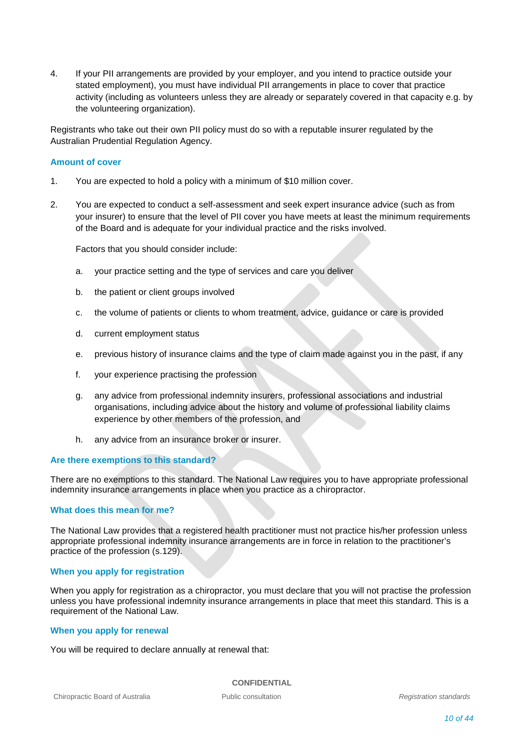4. If your PII arrangements are provided by your employer, and you intend to practice outside your stated employment), you must have individual PII arrangements in place to cover that practice activity (including as volunteers unless they are already or separately covered in that capacity e.g. by the volunteering organization).

Registrants who take out their own PII policy must do so with a reputable insurer regulated by the Australian Prudential Regulation Agency.

### **Amount of cover**

- 1. You are expected to hold a policy with a minimum of \$10 million cover.
- 2. You are expected to conduct a self-assessment and seek expert insurance advice (such as from your insurer) to ensure that the level of PII cover you have meets at least the minimum requirements of the Board and is adequate for your individual practice and the risks involved.

Factors that you should consider include:

- a. your practice setting and the type of services and care you deliver
- b. the patient or client groups involved
- c. the volume of patients or clients to whom treatment, advice, guidance or care is provided
- d. current employment status
- e. previous history of insurance claims and the type of claim made against you in the past, if any
- f. your experience practising the profession
- g. any advice from professional indemnity insurers, professional associations and industrial organisations, including advice about the history and volume of professional liability claims experience by other members of the profession, and
- h. any advice from an insurance broker or insurer.

### **Are there exemptions to this standard?**

There are no exemptions to this standard. The National Law requires you to have appropriate professional indemnity insurance arrangements in place when you practice as a chiropractor.

### **What does this mean for me?**

The National Law provides that a registered health practitioner must not practice his/her profession unless appropriate professional indemnity insurance arrangements are in force in relation to the practitioner's practice of the profession (s.129).

### **When you apply for registration**

When you apply for registration as a chiropractor, you must declare that you will not practise the profession unless you have professional indemnity insurance arrangements in place that meet this standard. This is a requirement of the National Law.

### **When you apply for renewal**

You will be required to declare annually at renewal that: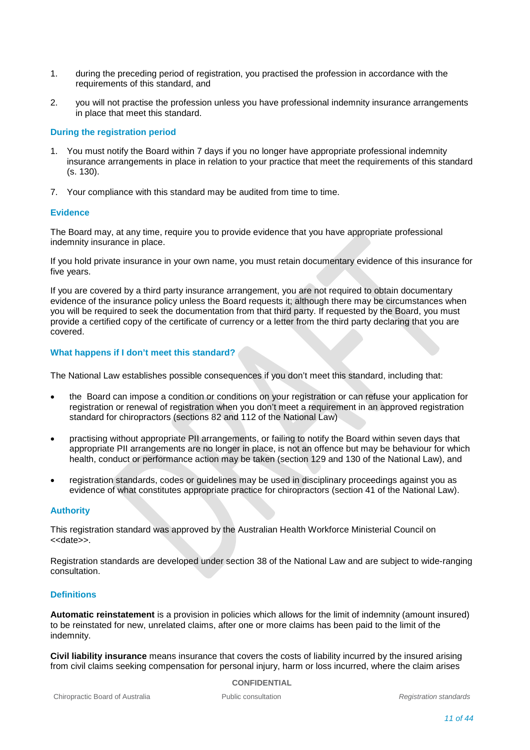- 1. during the preceding period of registration, you practised the profession in accordance with the requirements of this standard, and
- 2. you will not practise the profession unless you have professional indemnity insurance arrangements in place that meet this standard.

### **During the registration period**

- 1. You must notify the Board within 7 days if you no longer have appropriate professional indemnity insurance arrangements in place in relation to your practice that meet the requirements of this standard (s. 130).
- 7. Your compliance with this standard may be audited from time to time.

### **Evidence**

The Board may, at any time, require you to provide evidence that you have appropriate professional indemnity insurance in place.

If you hold private insurance in your own name, you must retain documentary evidence of this insurance for five years.

If you are covered by a third party insurance arrangement, you are not required to obtain documentary evidence of the insurance policy unless the Board requests it; although there may be circumstances when you will be required to seek the documentation from that third party. If requested by the Board, you must provide a certified copy of the certificate of currency or a letter from the third party declaring that you are covered.

### **What happens if I don't meet this standard?**

The National Law establishes possible consequences if you don't meet this standard, including that:

- the Board can impose a condition or conditions on your registration or can refuse your application for registration or renewal of registration when you don't meet a requirement in an approved registration standard for chiropractors (sections 82 and 112 of the National Law)
- practising without appropriate PII arrangements, or failing to notify the Board within seven days that appropriate PII arrangements are no longer in place, is not an offence but may be behaviour for which health, conduct or performance action may be taken (section 129 and 130 of the National Law), and
- registration standards, codes or guidelines may be used in disciplinary proceedings against you as evidence of what constitutes appropriate practice for chiropractors (section 41 of the National Law).

### **Authority**

This registration standard was approved by the Australian Health Workforce Ministerial Council on <<date>>.

Registration standards are developed under section 38 of the National Law and are subject to wide-ranging consultation.

### **Definitions**

**Automatic reinstatement** is a provision in policies which allows for the limit of indemnity (amount insured) to be reinstated for new, unrelated claims, after one or more claims has been paid to the limit of the indemnity.

**Civil liability insurance** means insurance that covers the costs of liability incurred by the insured arising from civil claims seeking compensation for personal injury, harm or loss incurred, where the claim arises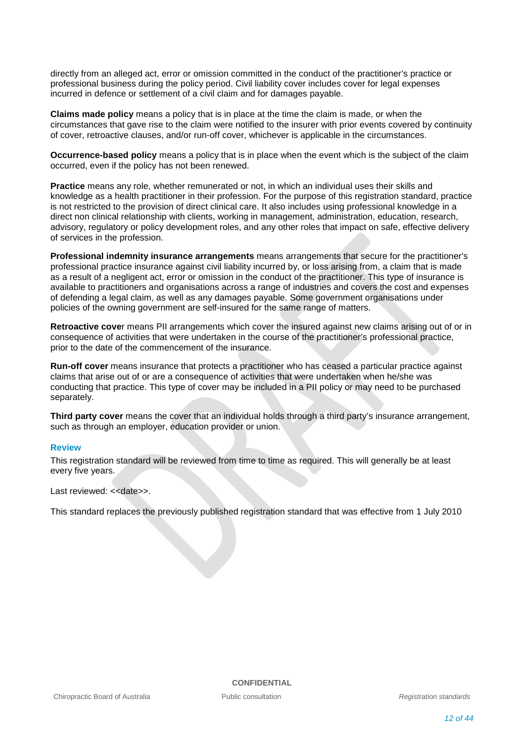directly from an alleged act, error or omission committed in the conduct of the practitioner's practice or professional business during the policy period. Civil liability cover includes cover for legal expenses incurred in defence or settlement of a civil claim and for damages payable.

**Claims made policy** means a policy that is in place at the time the claim is made, or when the circumstances that gave rise to the claim were notified to the insurer with prior events covered by continuity of cover, retroactive clauses, and/or run-off cover, whichever is applicable in the circumstances.

**Occurrence-based policy** means a policy that is in place when the event which is the subject of the claim occurred, even if the policy has not been renewed.

**Practice** means any role, whether remunerated or not, in which an individual uses their skills and knowledge as a health practitioner in their profession. For the purpose of this registration standard, practice is not restricted to the provision of direct clinical care. It also includes using professional knowledge in a direct non clinical relationship with clients, working in management, administration, education, research, advisory, regulatory or policy development roles, and any other roles that impact on safe, effective delivery of services in the profession.

**Professional indemnity insurance arrangements** means arrangements that secure for the practitioner's professional practice insurance against civil liability incurred by, or loss arising from, a claim that is made as a result of a negligent act, error or omission in the conduct of the practitioner. This type of insurance is available to practitioners and organisations across a range of industries and covers the cost and expenses of defending a legal claim, as well as any damages payable. Some government organisations under policies of the owning government are self-insured for the same range of matters.

**Retroactive cove**r means PII arrangements which cover the insured against new claims arising out of or in consequence of activities that were undertaken in the course of the practitioner's professional practice, prior to the date of the commencement of the insurance.

**Run-off cover** means insurance that protects a practitioner who has ceased a particular practice against claims that arise out of or are a consequence of activities that were undertaken when he/she was conducting that practice. This type of cover may be included in a PII policy or may need to be purchased separately.

**Third party cover** means the cover that an individual holds through a third party's insurance arrangement, such as through an employer, education provider or union.

### **Review**

This registration standard will be reviewed from time to time as required. This will generally be at least every five years.

Last reviewed: << date>>.

This standard replaces the previously published registration standard that was effective from 1 July 2010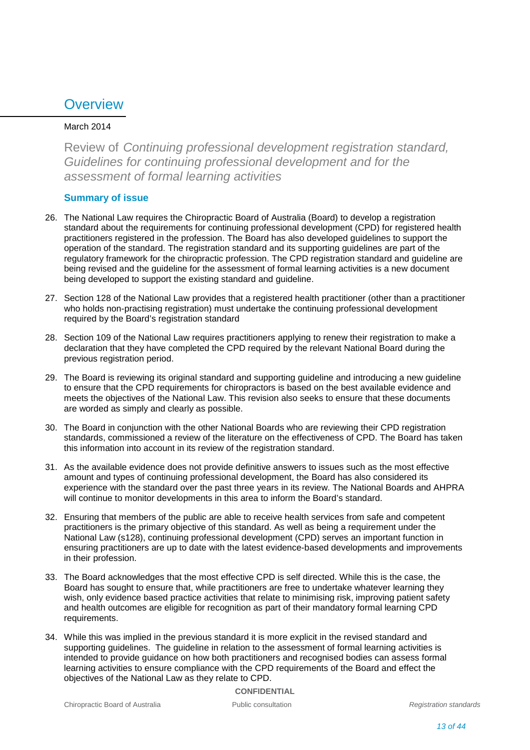## **Overview**

### March 2014

Review of *Continuing professional development registration standard, Guidelines for continuing professional development and for the assessment of formal learning activities*

### **Summary of issue**

- 26. The National Law requires the Chiropractic Board of Australia (Board) to develop a registration standard about the requirements for continuing professional development (CPD) for registered health practitioners registered in the profession. The Board has also developed guidelines to support the operation of the standard. The registration standard and its supporting guidelines are part of the regulatory framework for the chiropractic profession. The CPD registration standard and guideline are being revised and the guideline for the assessment of formal learning activities is a new document being developed to support the existing standard and guideline.
- 27. Section 128 of the National Law provides that a registered health practitioner (other than a practitioner who holds non-practising registration) must undertake the continuing professional development required by the Board's registration standard
- 28. Section 109 of the National Law requires practitioners applying to renew their registration to make a declaration that they have completed the CPD required by the relevant National Board during the previous registration period.
- 29. The Board is reviewing its original standard and supporting guideline and introducing a new guideline to ensure that the CPD requirements for chiropractors is based on the best available evidence and meets the objectives of the National Law. This revision also seeks to ensure that these documents are worded as simply and clearly as possible.
- 30. The Board in conjunction with the other National Boards who are reviewing their CPD registration standards, commissioned a review of the literature on the effectiveness of CPD. The Board has taken this information into account in its review of the registration standard.
- 31. As the available evidence does not provide definitive answers to issues such as the most effective amount and types of continuing professional development, the Board has also considered its experience with the standard over the past three years in its review. The National Boards and AHPRA will continue to monitor developments in this area to inform the Board's standard.
- 32. Ensuring that members of the public are able to receive health services from safe and competent practitioners is the primary objective of this standard. As well as being a requirement under the National Law (s128), continuing professional development (CPD) serves an important function in ensuring practitioners are up to date with the latest evidence-based developments and improvements in their profession.
- 33. The Board acknowledges that the most effective CPD is self directed. While this is the case, the Board has sought to ensure that, while practitioners are free to undertake whatever learning they wish, only evidence based practice activities that relate to minimising risk, improving patient safety and health outcomes are eligible for recognition as part of their mandatory formal learning CPD requirements.
- 34. While this was implied in the previous standard it is more explicit in the revised standard and supporting guidelines. The guideline in relation to the assessment of formal learning activities is intended to provide guidance on how both practitioners and recognised bodies can assess formal learning activities to ensure compliance with the CPD requirements of the Board and effect the objectives of the National Law as they relate to CPD.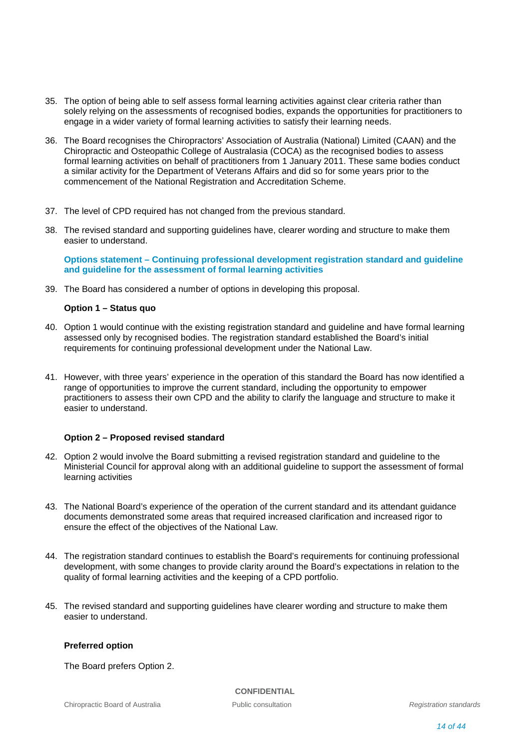- 35. The option of being able to self assess formal learning activities against clear criteria rather than solely relying on the assessments of recognised bodies, expands the opportunities for practitioners to engage in a wider variety of formal learning activities to satisfy their learning needs.
- 36. The Board recognises the Chiropractors' Association of Australia (National) Limited (CAAN) and the Chiropractic and Osteopathic College of Australasia (COCA) as the recognised bodies to assess formal learning activities on behalf of practitioners from 1 January 2011. These same bodies conduct a similar activity for the Department of Veterans Affairs and did so for some years prior to the commencement of the National Registration and Accreditation Scheme.
- 37. The level of CPD required has not changed from the previous standard.
- 38. The revised standard and supporting guidelines have, clearer wording and structure to make them easier to understand.

**Options statement – Continuing professional development registration standard and guideline and guideline for the assessment of formal learning activities**

39. The Board has considered a number of options in developing this proposal.

### **Option 1 – Status quo**

- 40. Option 1 would continue with the existing registration standard and guideline and have formal learning assessed only by recognised bodies. The registration standard established the Board's initial requirements for continuing professional development under the National Law.
- 41. However, with three years' experience in the operation of this standard the Board has now identified a range of opportunities to improve the current standard, including the opportunity to empower practitioners to assess their own CPD and the ability to clarify the language and structure to make it easier to understand.

### **Option 2 – Proposed revised standard**

- 42. Option 2 would involve the Board submitting a revised registration standard and guideline to the Ministerial Council for approval along with an additional guideline to support the assessment of formal learning activities
- 43. The National Board's experience of the operation of the current standard and its attendant guidance documents demonstrated some areas that required increased clarification and increased rigor to ensure the effect of the objectives of the National Law.
- 44. The registration standard continues to establish the Board's requirements for continuing professional development, with some changes to provide clarity around the Board's expectations in relation to the quality of formal learning activities and the keeping of a CPD portfolio.
- 45. The revised standard and supporting guidelines have clearer wording and structure to make them easier to understand.

### **Preferred option**

The Board prefers Option 2.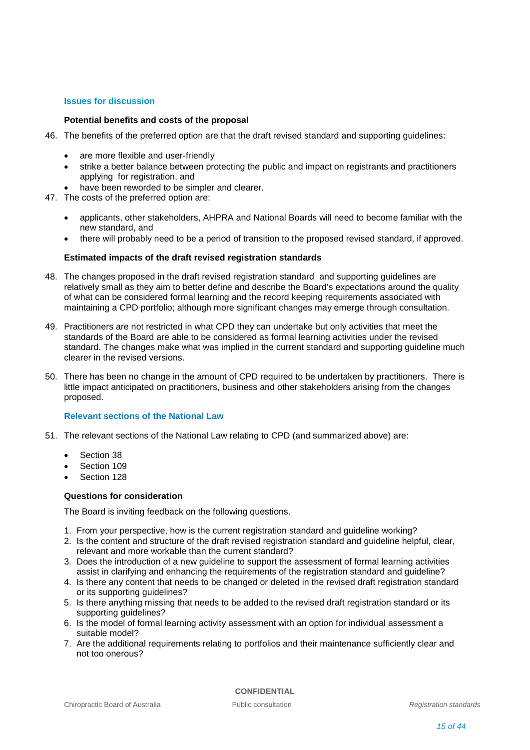### **Issues for discussion**

### **Potential benefits and costs of the proposal**

- 46. The benefits of the preferred option are that the draft revised standard and supporting guidelines:
	- are more flexible and user-friendly
	- strike a better balance between protecting the public and impact on registrants and practitioners applying for registration, and
	- have been reworded to be simpler and clearer.
- 47. The costs of the preferred option are:
	- applicants, other stakeholders, AHPRA and National Boards will need to become familiar with the new standard, and
	- there will probably need to be a period of transition to the proposed revised standard, if approved.

### **Estimated impacts of the draft revised registration standards**

- 48. The changes proposed in the draft revised registration standard and supporting guidelines are relatively small as they aim to better define and describe the Board's expectations around the quality of what can be considered formal learning and the record keeping requirements associated with maintaining a CPD portfolio; although more significant changes may emerge through consultation.
- 49. Practitioners are not restricted in what CPD they can undertake but only activities that meet the standards of the Board are able to be considered as formal learning activities under the revised standard. The changes make what was implied in the current standard and supporting guideline much clearer in the revised versions.
- 50. There has been no change in the amount of CPD required to be undertaken by practitioners. There is little impact anticipated on practitioners, business and other stakeholders arising from the changes proposed.

### **Relevant sections of the National Law**

- 51. The relevant sections of the National Law relating to CPD (and summarized above) are:
	- Section 38
	- Section 109
	- Section 128

### **Questions for consideration**

The Board is inviting feedback on the following questions.

- 1. From your perspective, how is the current registration standard and guideline working?
- 2. Is the content and structure of the draft revised registration standard and guideline helpful, clear, relevant and more workable than the current standard?
- 3. Does the introduction of a new guideline to support the assessment of formal learning activities assist in clarifying and enhancing the requirements of the registration standard and guideline?
- 4. Is there any content that needs to be changed or deleted in the revised draft registration standard or its supporting guidelines?
- 5. Is there anything missing that needs to be added to the revised draft registration standard or its supporting guidelines?
- 6. Is the model of formal learning activity assessment with an option for individual assessment a suitable model?
- 7. Are the additional requirements relating to portfolios and their maintenance sufficiently clear and not too onerous?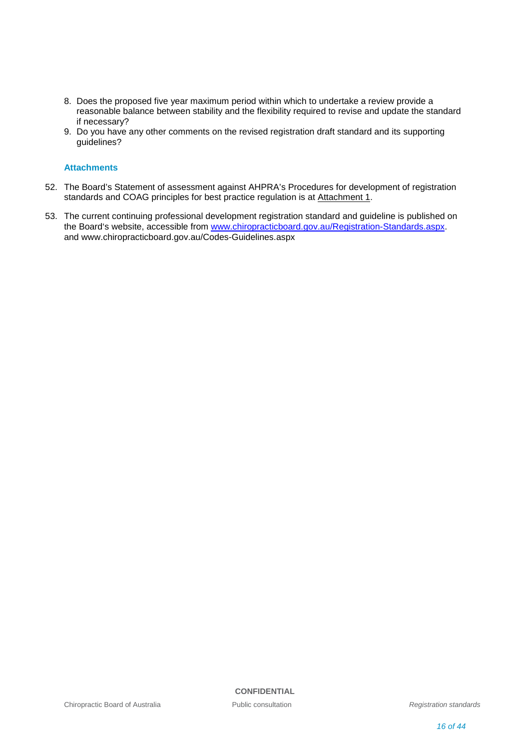- 8. Does the proposed five year maximum period within which to undertake a review provide a reasonable balance between stability and the flexibility required to revise and update the standard if necessary?
- 9. Do you have any other comments on the revised registration draft standard and its supporting guidelines?

### **Attachments**

- 52. The Board's Statement of assessment against AHPRA's Procedures for development of registration standards and COAG principles for best practice regulation is at Attachment 1.
- 53. The current continuing professional development registration standard and guideline is published on the Board's website, accessible from [www.chiropracticboard.gov.au/Registration-Standards.aspx.](http://www.chiropracticboard.gov.au/Registration-Standards.aspx) and www.chiropracticboard.gov.au/Codes-Guidelines.aspx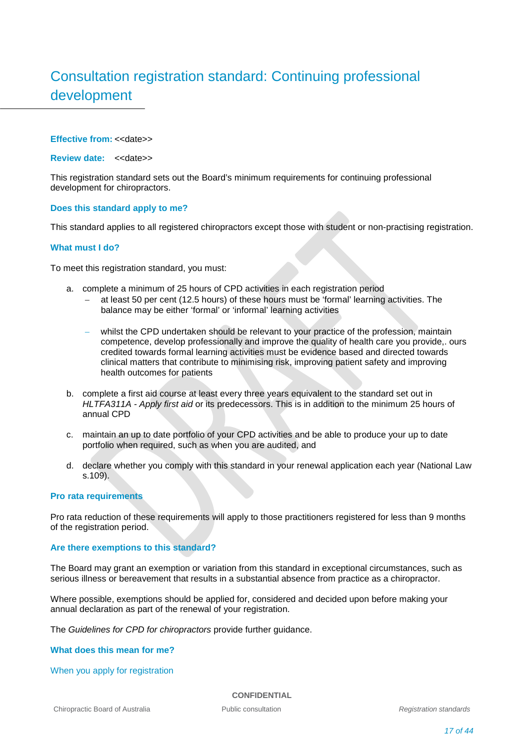# Consultation registration standard: Continuing professional development

### **Effective from: <<date>>**

**Review date:** <<date>>

This registration standard sets out the Board's minimum requirements for continuing professional development for chiropractors.

### **Does this standard apply to me?**

This standard applies to all registered chiropractors except those with student or non-practising registration.

### **What must I do?**

To meet this registration standard, you must:

- a. complete a minimum of 25 hours of CPD activities in each registration period
	- − at least 50 per cent (12.5 hours) of these hours must be 'formal' learning activities. The balance may be either 'formal' or 'informal' learning activities
	- whilst the CPD undertaken should be relevant to your practice of the profession, maintain competence, develop professionally and improve the quality of health care you provide,. ours credited towards formal learning activities must be evidence based and directed towards clinical matters that contribute to minimising risk, improving patient safety and improving health outcomes for patients
- b. complete a first aid course at least every three years equivalent to the standard set out in *HLTFA311A - Apply first aid* or its predecessors. This is in addition to the minimum 25 hours of annual CPD
- c. maintain an up to date portfolio of your CPD activities and be able to produce your up to date portfolio when required, such as when you are audited, and
- d. declare whether you comply with this standard in your renewal application each year (National Law s.109).

### **Pro rata requirements**

Pro rata reduction of these requirements will apply to those practitioners registered for less than 9 months of the registration period.

### **Are there exemptions to this standard?**

The Board may grant an exemption or variation from this standard in exceptional circumstances, such as serious illness or bereavement that results in a substantial absence from practice as a chiropractor.

Where possible, exemptions should be applied for, considered and decided upon before making your annual declaration as part of the renewal of your registration.

The *Guidelines for CPD for chiropractors* provide further guidance.

### **What does this mean for me?**

When you apply for registration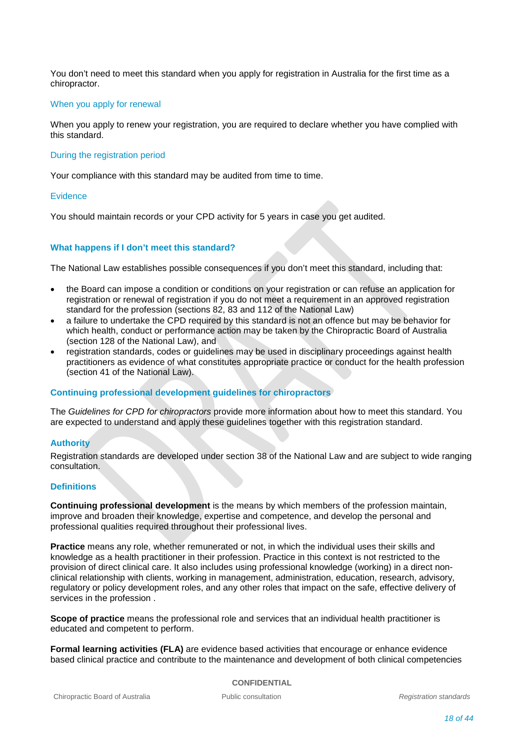You don't need to meet this standard when you apply for registration in Australia for the first time as a chiropractor.

### When you apply for renewal

When you apply to renew your registration, you are required to declare whether you have complied with this standard.

### During the registration period

Your compliance with this standard may be audited from time to time.

### **Evidence**

You should maintain records or your CPD activity for 5 years in case you get audited.

### **What happens if I don't meet this standard?**

The National Law establishes possible consequences if you don't meet this standard, including that:

- the Board can impose a condition or conditions on your registration or can refuse an application for registration or renewal of registration if you do not meet a requirement in an approved registration standard for the profession (sections 82, 83 and 112 of the National Law)
- a failure to undertake the CPD required by this standard is not an offence but may be behavior for which health, conduct or performance action may be taken by the Chiropractic Board of Australia (section 128 of the National Law), and
- registration standards, codes or guidelines may be used in disciplinary proceedings against health practitioners as evidence of what constitutes appropriate practice or conduct for the health profession (section 41 of the National Law).

### **Continuing professional development guidelines for chiropractors**

The *Guidelines for CPD for chiropractors* provide more information about how to meet this standard. You are expected to understand and apply these guidelines together with this registration standard.

### **Authority**

Registration standards are developed under section 38 of the National Law and are subject to wide ranging consultation.

### **Definitions**

**Continuing professional development** is the means by which members of the profession maintain, improve and broaden their knowledge, expertise and competence, and develop the personal and professional qualities required throughout their professional lives.

**Practice** means any role, whether remunerated or not, in which the individual uses their skills and knowledge as a health practitioner in their profession. Practice in this context is not restricted to the provision of direct clinical care. It also includes using professional knowledge (working) in a direct nonclinical relationship with clients, working in management, administration, education, research, advisory, regulatory or policy development roles, and any other roles that impact on the safe, effective delivery of services in the profession .

**Scope of practice** means the professional role and services that an individual health practitioner is educated and competent to perform.

**Formal learning activities (FLA)** are evidence based activities that encourage or enhance evidence based clinical practice and contribute to the maintenance and development of both clinical competencies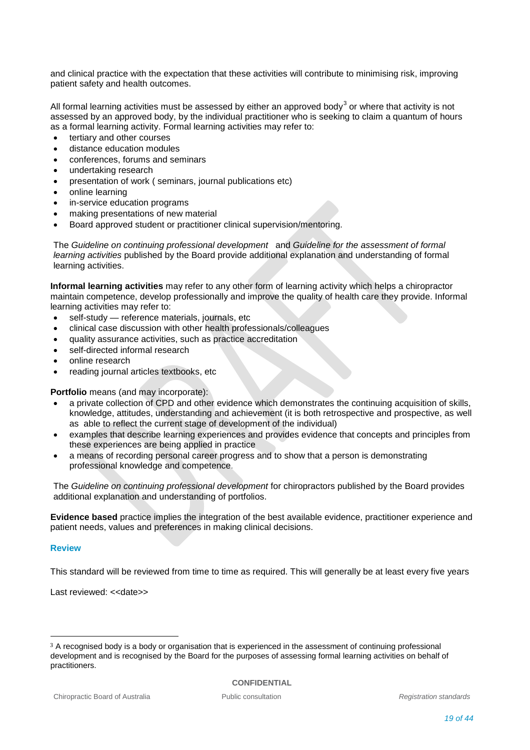and clinical practice with the expectation that these activities will contribute to minimising risk, improving patient safety and health outcomes.

All formal learning activities must be assessed by either an approved body $^3$  $^3$  or where that activity is not assessed by an approved body, by the individual practitioner who is seeking to claim a quantum of hours as a formal learning activity. Formal learning activities may refer to:

- tertiary and other courses
- distance education modules
- conferences, forums and seminars
- undertaking research
- presentation of work ( seminars, journal publications etc)
- online learning
- in-service education programs
- making presentations of new material
- Board approved student or practitioner clinical supervision/mentoring.

The *Guideline on continuing professional development* and *Guideline for the assessment of formal learning activities* published by the Board provide additional explanation and understanding of formal learning activities.

**Informal learning activities** may refer to any other form of learning activity which helps a chiropractor maintain competence, develop professionally and improve the quality of health care they provide. Informal learning activities may refer to:

- self-study reference materials, journals, etc
- clinical case discussion with other health professionals/colleagues
- quality assurance activities, such as practice accreditation
- self-directed informal research
- online research
- reading journal articles textbooks, etc

**Portfolio** means (and may incorporate):

- a private collection of CPD and other evidence which demonstrates the continuing acquisition of skills, knowledge, attitudes, understanding and achievement (it is both retrospective and prospective, as well as able to reflect the current stage of development of the individual)
- examples that describe learning experiences and provides evidence that concepts and principles from these experiences are being applied in practice
- a means of recording personal career progress and to show that a person is demonstrating professional knowledge and competence.

The *Guideline on continuing professional development* for chiropractors published by the Board provides additional explanation and understanding of portfolios.

**Evidence based** practice implies the integration of the best available evidence, practitioner experience and patient needs, values and preferences in making clinical decisions.

### **Review**

This standard will be reviewed from time to time as required. This will generally be at least every five years

Last reviewed: << date>>

<span id="page-18-0"></span> <sup>3</sup> <sup>A</sup> recognised body is a body or organisation that is experienced in the assessment of continuing professional development and is recognised by the Board for the purposes of assessing formal learning activities on behalf of practitioners.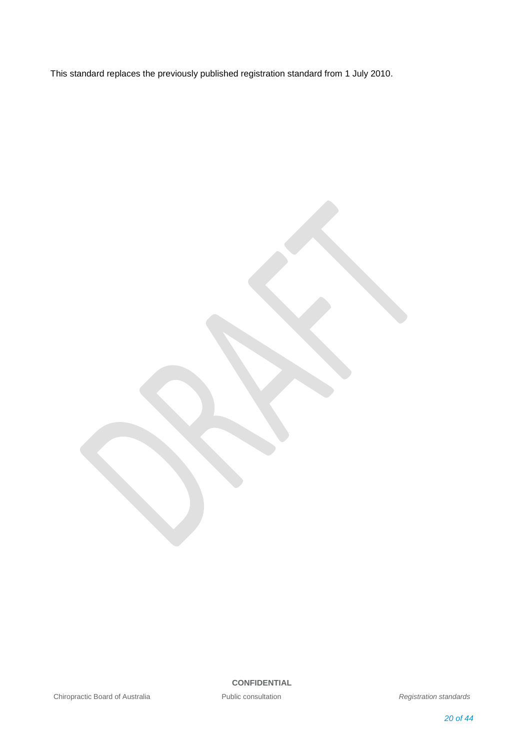This standard replaces the previously published registration standard from 1 July 2010.

Chiropractic Board of Australia **Public consultation Registration** *Registration standards*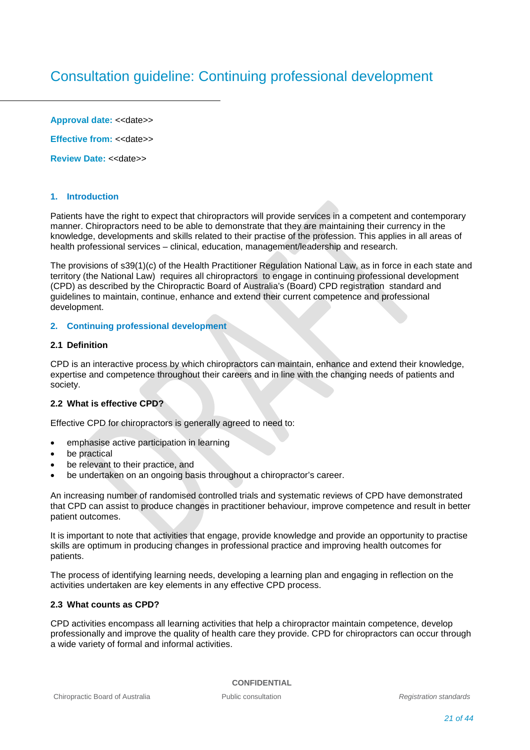# Consultation guideline: Continuing professional development

Approval date: << date>

**Effective from: << date>>** 

**Review Date:** <<date>>

### **1. Introduction**

Patients have the right to expect that chiropractors will provide services in a competent and contemporary manner. Chiropractors need to be able to demonstrate that they are maintaining their currency in the knowledge, developments and skills related to their practise of the profession. This applies in all areas of health professional services – clinical, education, management/leadership and research.

The provisions of s39(1)(c) of the Health Practitioner Regulation National Law, as in force in each state and territory (the National Law) requires all chiropractors to engage in continuing professional development (CPD) as described by the Chiropractic Board of Australia's (Board) CPD registration standard and guidelines to maintain, continue, enhance and extend their current competence and professional development.

### **2. Continuing professional development**

### **2.1 Definition**

CPD is an interactive process by which chiropractors can maintain, enhance and extend their knowledge, expertise and competence throughout their careers and in line with the changing needs of patients and society.

### **2.2 What is effective CPD?**

Effective CPD for chiropractors is generally agreed to need to:

- emphasise active participation in learning
- be practical
- be relevant to their practice, and
- be undertaken on an ongoing basis throughout a chiropractor's career.

An increasing number of randomised controlled trials and systematic reviews of CPD have demonstrated that CPD can assist to produce changes in practitioner behaviour, improve competence and result in better patient outcomes.

It is important to note that activities that engage, provide knowledge and provide an opportunity to practise skills are optimum in producing changes in professional practice and improving health outcomes for patients.

The process of identifying learning needs, developing a learning plan and engaging in reflection on the activities undertaken are key elements in any effective CPD process.

### **2.3 What counts as CPD?**

CPD activities encompass all learning activities that help a chiropractor maintain competence, develop professionally and improve the quality of health care they provide. CPD for chiropractors can occur through a wide variety of formal and informal activities.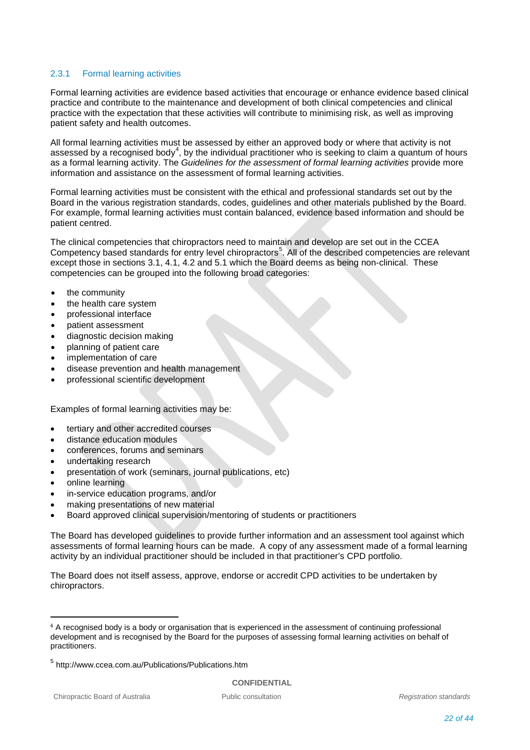### 2.3.1 Formal learning activities

Formal learning activities are evidence based activities that encourage or enhance evidence based clinical practice and contribute to the maintenance and development of both clinical competencies and clinical practice with the expectation that these activities will contribute to minimising risk, as well as improving patient safety and health outcomes.

All formal learning activities must be assessed by either an approved body or where that activity is not assessed by a recognised body<sup>[4](#page-21-0)</sup>, by the individual practitioner who is seeking to claim a quantum of hours as a formal learning activity. The *Guidelines for the assessment of formal learning activities* provide more information and assistance on the assessment of formal learning activities.

Formal learning activities must be consistent with the ethical and professional standards set out by the Board in the various registration standards, codes, guidelines and other materials published by the Board. For example, formal learning activities must contain balanced, evidence based information and should be patient centred.

The clinical competencies that chiropractors need to maintain and develop are set out in the CCEA Competency based standards for entry level chiropractors<sup>[5](#page-21-1)</sup>. All of the described competencies are relevant except those in sections 3.1, 4.1, 4.2 and 5.1 which the Board deems as being non-clinical. These competencies can be grouped into the following broad categories:

- the community
- the health care system
- professional interface
- patient assessment
- diagnostic decision making
- planning of patient care
- implementation of care
- disease prevention and health management
- professional scientific development

Examples of formal learning activities may be:

- tertiary and other accredited courses
- distance education modules
- conferences, forums and seminars
- undertaking research
- presentation of work (seminars, journal publications, etc)
- online learning
- in-service education programs, and/or
- making presentations of new material
- Board approved clinical supervision/mentoring of students or practitioners

The Board has developed guidelines to provide further information and an assessment tool against which assessments of formal learning hours can be made. A copy of any assessment made of a formal learning activity by an individual practitioner should be included in that practitioner's CPD portfolio.

The Board does not itself assess, approve, endorse or accredit CPD activities to be undertaken by chiropractors.

<span id="page-21-0"></span> <sup>4</sup> <sup>A</sup> recognised body is a body or organisation that is experienced in the assessment of continuing professional development and is recognised by the Board for the purposes of assessing formal learning activities on behalf of practitioners.

<span id="page-21-1"></span><sup>5</sup> http://www.ccea.com.au/Publications/Publications.htm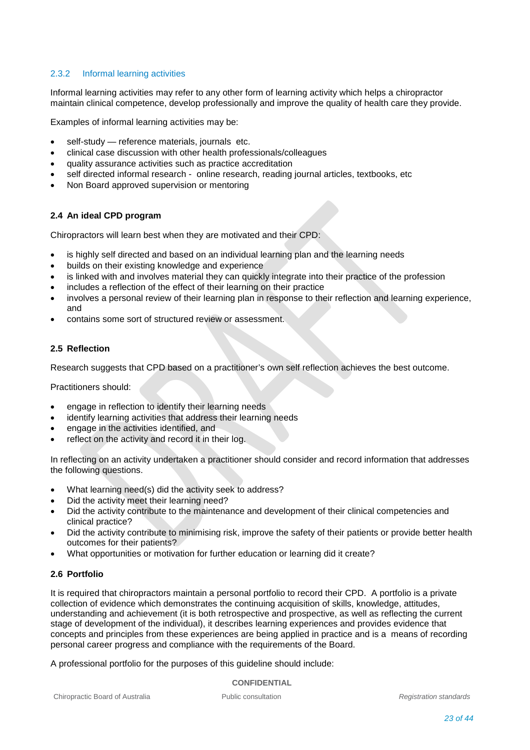### 2.3.2 Informal learning activities

Informal learning activities may refer to any other form of learning activity which helps a chiropractor maintain clinical competence, develop professionally and improve the quality of health care they provide.

Examples of informal learning activities may be:

- self-study reference materials, journals etc.
- clinical case discussion with other health professionals/colleagues
- quality assurance activities such as practice accreditation
- self directed informal research online research, reading journal articles, textbooks, etc
- Non Board approved supervision or mentoring

### **2.4 An ideal CPD program**

Chiropractors will learn best when they are motivated and their CPD:

- is highly self directed and based on an individual learning plan and the learning needs
- builds on their existing knowledge and experience
- is linked with and involves material they can quickly integrate into their practice of the profession
- includes a reflection of the effect of their learning on their practice
- involves a personal review of their learning plan in response to their reflection and learning experience, and
- contains some sort of structured review or assessment.

### **2.5 Reflection**

Research suggests that CPD based on a practitioner's own self reflection achieves the best outcome.

Practitioners should:

- engage in reflection to identify their learning needs
- identify learning activities that address their learning needs
- engage in the activities identified, and
- reflect on the activity and record it in their log.

In reflecting on an activity undertaken a practitioner should consider and record information that addresses the following questions.

- What learning need(s) did the activity seek to address?
- Did the activity meet their learning need?
- Did the activity contribute to the maintenance and development of their clinical competencies and clinical practice?
- Did the activity contribute to minimising risk, improve the safety of their patients or provide better health outcomes for their patients?
- What opportunities or motivation for further education or learning did it create?

### **2.6 Portfolio**

It is required that chiropractors maintain a personal portfolio to record their CPD. A portfolio is a private collection of evidence which demonstrates the continuing acquisition of skills, knowledge, attitudes, understanding and achievement (it is both retrospective and prospective, as well as reflecting the current stage of development of the individual), it describes learning experiences and provides evidence that concepts and principles from these experiences are being applied in practice and is a means of recording personal career progress and compliance with the requirements of the Board.

A professional portfolio for the purposes of this guideline should include: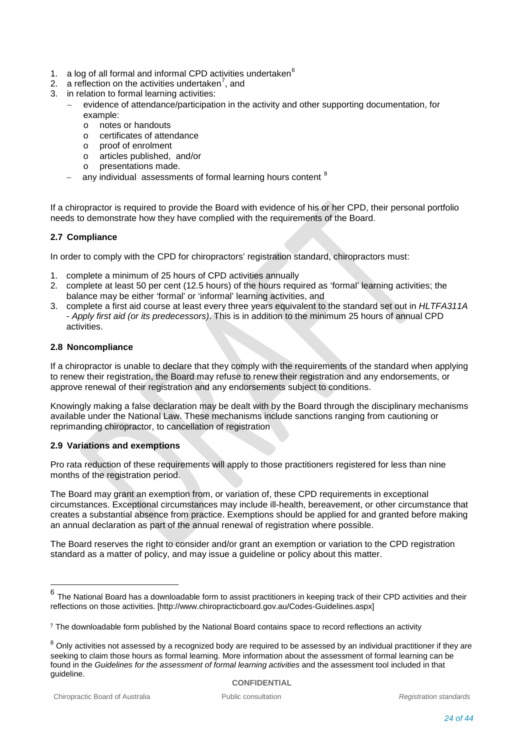- 1. a log of all formal and informal CPD activities undertaken $<sup>6</sup>$  $<sup>6</sup>$  $<sup>6</sup>$ </sup>
- 2. a reflection on the activities undertaken<sup>[7](#page-23-1)</sup>, and
- 3. in relation to formal learning activities:
	- evidence of attendance/participation in the activity and other supporting documentation, for example:<br>o notes
		- o notes or handouts<br>
		o certificates of atter
		- o certificates of attendance<br>o proof of enrolment
		- o proof of enrolment<br>o articles published
		- articles published, and/or
		- o presentations made.
		- any individual assessments of formal learning hours content <sup>[8](#page-23-2)</sup>

If a chiropractor is required to provide the Board with evidence of his or her CPD, their personal portfolio needs to demonstrate how they have complied with the requirements of the Board.

### **2.7 Compliance**

In order to comply with the CPD for chiropractors' registration standard, chiropractors must:

- 1. complete a minimum of 25 hours of CPD activities annually
- 2. complete at least 50 per cent (12.5 hours) of the hours required as 'formal' learning activities; the balance may be either 'formal' or 'informal' learning activities, and
- 3. complete a first aid course at least every three years equivalent to the standard set out in *HLTFA311A*  - *Apply first aid (or its predecessors)*. This is in addition to the minimum 25 hours of annual CPD activities.

### **2.8 Noncompliance**

If a chiropractor is unable to declare that they comply with the requirements of the standard when applying to renew their registration, the Board may refuse to renew their registration and any endorsements, or approve renewal of their registration and any endorsements subject to conditions.

Knowingly making a false declaration may be dealt with by the Board through the disciplinary mechanisms available under the National Law. These mechanisms include sanctions ranging from cautioning or reprimanding chiropractor, to cancellation of registration

### **2.9 Variations and exemptions**

Pro rata reduction of these requirements will apply to those practitioners registered for less than nine months of the registration period.

The Board may grant an exemption from, or variation of, these CPD requirements in exceptional circumstances. Exceptional circumstances may include ill-health, bereavement, or other circumstance that creates a substantial absence from practice. Exemptions should be applied for and granted before making an annual declaration as part of the annual renewal of registration where possible.

The Board reserves the right to consider and/or grant an exemption or variation to the CPD registration standard as a matter of policy, and may issue a guideline or policy about this matter.

<span id="page-23-0"></span>The National Board has a downloadable form to assist practitioners in keeping track of their CPD activities and their reflections on those activities. [http://www.chiropracticboard.gov.au/Codes-Guidelines.aspx]

<span id="page-23-1"></span><sup>&</sup>lt;sup>7</sup> The downloadable form published by the National Board contains space to record reflections an activity

<span id="page-23-2"></span> $8$  Only activities not assessed by a recognized body are required to be assessed by an individual practitioner if they are seeking to claim those hours as formal learning. More information about the assessment of formal learning can be found in the *Guidelines for the assessment of formal learning activities* and the assessment tool included in that guideline.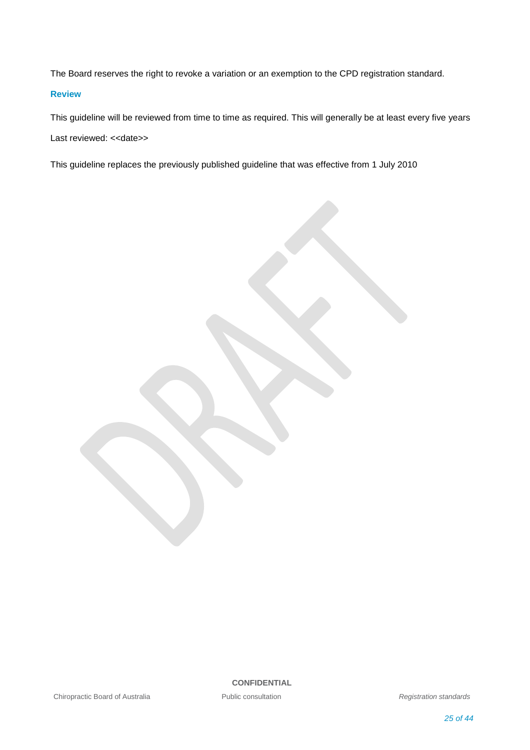The Board reserves the right to revoke a variation or an exemption to the CPD registration standard.

### **Review**

This guideline will be reviewed from time to time as required. This will generally be at least every five years Last reviewed: << date>>

This guideline replaces the previously published guideline that was effective from 1 July 2010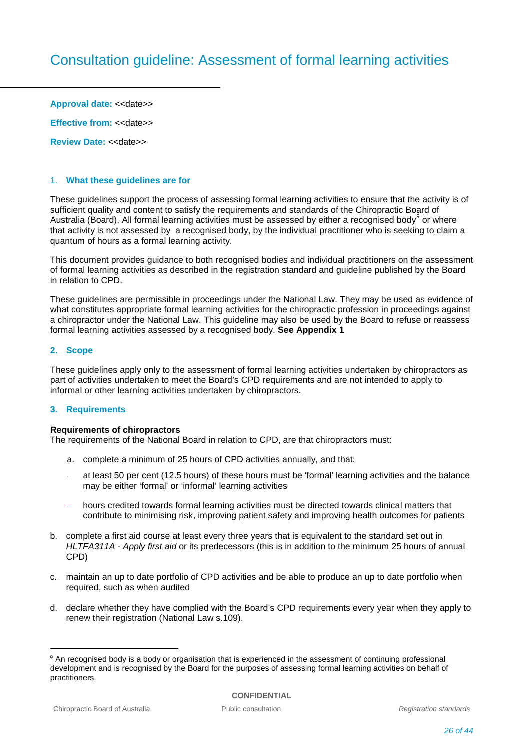**Approval date: << date>>** 

**Effective from: << date>>** 

**Review Date: << date>>** 

### 1. **What these guidelines are for**

These guidelines support the process of assessing formal learning activities to ensure that the activity is of sufficient quality and content to satisfy the requirements and standards of the Chiropractic Board of Australia (Board). All formal learning activities must be assessed by either a recognised body $^9$  $^9$  or where that activity is not assessed by a recognised body, by the individual practitioner who is seeking to claim a quantum of hours as a formal learning activity.

This document provides guidance to both recognised bodies and individual practitioners on the assessment of formal learning activities as described in the registration standard and guideline published by the Board in relation to CPD.

These guidelines are permissible in proceedings under the National Law. They may be used as evidence of what constitutes appropriate formal learning activities for the chiropractic profession in proceedings against a chiropractor under the National Law. This guideline may also be used by the Board to refuse or reassess formal learning activities assessed by a recognised body. **See Appendix 1**

### **2. Scope**

These guidelines apply only to the assessment of formal learning activities undertaken by chiropractors as part of activities undertaken to meet the Board's CPD requirements and are not intended to apply to informal or other learning activities undertaken by chiropractors.

### **3. Requirements**

### **Requirements of chiropractors**

The requirements of the National Board in relation to CPD, are that chiropractors must:

- a. complete a minimum of 25 hours of CPD activities annually, and that:
- at least 50 per cent (12.5 hours) of these hours must be 'formal' learning activities and the balance may be either 'formal' or 'informal' learning activities
- hours credited towards formal learning activities must be directed towards clinical matters that contribute to minimising risk, improving patient safety and improving health outcomes for patients
- b. complete a first aid course at least every three years that is equivalent to the standard set out in *HLTFA311A - Apply first aid* or its predecessors (this is in addition to the minimum 25 hours of annual CPD)
- c. maintain an up to date portfolio of CPD activities and be able to produce an up to date portfolio when required, such as when audited
- d. declare whether they have complied with the Board's CPD requirements every year when they apply to renew their registration (National Law s.109).

<span id="page-25-0"></span><sup>9</sup> An recognised body is a body or organisation that is experienced in the assessment of continuing professional development and is recognised by the Board for the purposes of assessing formal learning activities on behalf of practitioners.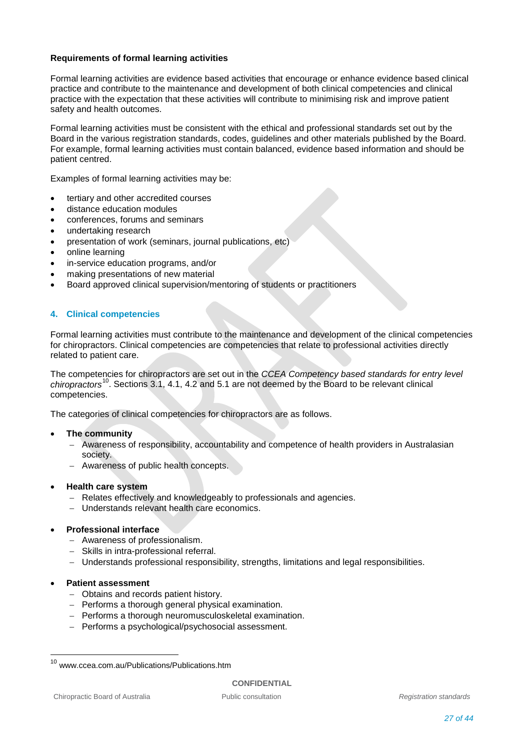### **Requirements of formal learning activities**

Formal learning activities are evidence based activities that encourage or enhance evidence based clinical practice and contribute to the maintenance and development of both clinical competencies and clinical practice with the expectation that these activities will contribute to minimising risk and improve patient safety and health outcomes.

Formal learning activities must be consistent with the ethical and professional standards set out by the Board in the various registration standards, codes, guidelines and other materials published by the Board. For example, formal learning activities must contain balanced, evidence based information and should be patient centred.

Examples of formal learning activities may be:

- tertiary and other accredited courses
- distance education modules
- conferences, forums and seminars
- undertaking research
- presentation of work (seminars, journal publications, etc)
- online learning
- in-service education programs, and/or
- making presentations of new material
- Board approved clinical supervision/mentoring of students or practitioners

### **4. Clinical competencies**

Formal learning activities must contribute to the maintenance and development of the clinical competencies for chiropractors. Clinical competencies are competencies that relate to professional activities directly related to patient care.

The competencies for chiropractors are set out in the *CCEA Competency based standards for entry level chiropractors*[10](#page-26-0) . Sections 3.1, 4.1, 4.2 and 5.1 are not deemed by the Board to be relevant clinical competencies.

The categories of clinical competencies for chiropractors are as follows.

### • **The community**

- − Awareness of responsibility, accountability and competence of health providers in Australasian society.
- − Awareness of public health concepts.

### • **Health care system**

- − Relates effectively and knowledgeably to professionals and agencies.
- − Understands relevant health care economics.

### • **Professional interface**

- − Awareness of professionalism.
- − Skills in intra-professional referral.
- − Understands professional responsibility, strengths, limitations and legal responsibilities.

### • **Patient assessment**

- − Obtains and records patient history.
- − Performs a thorough general physical examination.
- − Performs a thorough neuromusculoskeletal examination.
- − Performs a psychological/psychosocial assessment.

<span id="page-26-0"></span><sup>10</sup> www.ccea.com.au/Publications/Publications.htm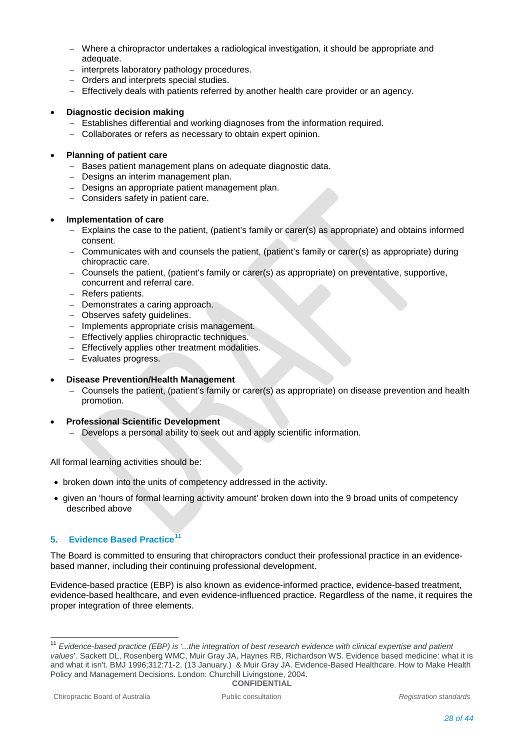- − Where a chiropractor undertakes a radiological investigation, it should be appropriate and adequate.
- − interprets laboratory pathology procedures.
- − Orders and interprets special studies.
- − Effectively deals with patients referred by another health care provider or an agency.

### • **Diagnostic decision making**

- − Establishes differential and working diagnoses from the information required.
- − Collaborates or refers as necessary to obtain expert opinion.

### • **Planning of patient care**

- − Bases patient management plans on adequate diagnostic data.
- − Designs an interim management plan.
- − Designs an appropriate patient management plan.
- − Considers safety in patient care.

### • **Implementation of care**

- − Explains the case to the patient, (patient's family or carer(s) as appropriate) and obtains informed consent.
- − Communicates with and counsels the patient, (patient's family or carer(s) as appropriate) during chiropractic care.
- − Counsels the patient, (patient's family or carer(s) as appropriate) on preventative, supportive, concurrent and referral care.
- − Refers patients.
- − Demonstrates a caring approach.
- − Observes safety guidelines.
- − Implements appropriate crisis management.
- − Effectively applies chiropractic techniques.
- − Effectively applies other treatment modalities.
- − Evaluates progress.

### • **Disease Prevention/Health Management**

- − Counsels the patient, (patient's family or carer(s) as appropriate) on disease prevention and health promotion.
- **Professional Scientific Development** 
	- − Develops a personal ability to seek out and apply scientific information.

All formal learning activities should be:

- broken down into the units of competency addressed in the activity.
- given an 'hours of formal learning activity amount' broken down into the 9 broad units of competency described above

### **5. Evidence Based Practice[11](#page-27-0)**

The Board is committed to ensuring that chiropractors conduct their professional practice in an evidencebased manner, including their continuing professional development.

Evidence-based practice (EBP) is also known as evidence-informed practice, evidence-based treatment, evidence-based healthcare, and even evidence-influenced practice. Regardless of the name, it requires the proper integration of three elements.

<span id="page-27-0"></span>**CONFIDENTIAL** <sup>11</sup> *Evidence-based practice (EBP) is '...the integration of best research evidence with clinical expertise and patient values*'. Sackett DL, Rosenberg WMC, Muir Gray JA, Haynes RB, Richardson WS. Evidence based medicine: what it is and what it isn't. BMJ 1996;312:71-2. (13 January.) & Muir Gray JA. Evidence-Based Healthcare. How to Make Health Policy and Management Decisions. London: Churchill Livingstone, 2004.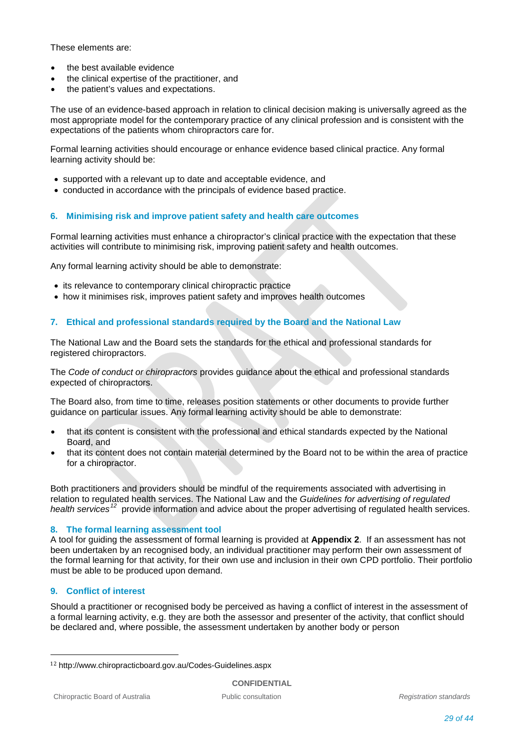These elements are:

- the best available evidence
- the clinical expertise of the practitioner, and
- the patient's values and expectations.

The use of an evidence-based approach in relation to clinical decision making is universally agreed as the most appropriate model for the contemporary practice of any clinical profession and is consistent with the expectations of the patients whom chiropractors care for.

Formal learning activities should encourage or enhance evidence based clinical practice. Any formal learning activity should be:

- supported with a relevant up to date and acceptable evidence, and
- conducted in accordance with the principals of evidence based practice.

### **6. Minimising risk and improve patient safety and health care outcomes**

Formal learning activities must enhance a chiropractor's clinical practice with the expectation that these activities will contribute to minimising risk, improving patient safety and health outcomes.

Any formal learning activity should be able to demonstrate:

- its relevance to contemporary clinical chiropractic practice
- how it minimises risk, improves patient safety and improves health outcomes

### **7. Ethical and professional standards required by the Board and the National Law**

The National Law and the Board sets the standards for the ethical and professional standards for registered chiropractors.

The *Code of conduct or chiropractors* provides guidance about the ethical and professional standards expected of chiropractors.

The Board also, from time to time, releases position statements or other documents to provide further guidance on particular issues. Any formal learning activity should be able to demonstrate:

- that its content is consistent with the professional and ethical standards expected by the National Board, and
- that its content does not contain material determined by the Board not to be within the area of practice for a chiropractor.

Both practitioners and providers should be mindful of the requirements associated with advertising in relation to regulated health services. The National Law and the *Guidelines for advertising of regulated health services[12](#page-28-0)* provide information and advice about the proper advertising of regulated health services.

### **8. The formal learning assessment tool**

A tool for guiding the assessment of formal learning is provided at **Appendix 2**. If an assessment has not been undertaken by an recognised body, an individual practitioner may perform their own assessment of the formal learning for that activity, for their own use and inclusion in their own CPD portfolio. Their portfolio must be able to be produced upon demand.

### **9. Conflict of interest**

Should a practitioner or recognised body be perceived as having a conflict of interest in the assessment of a formal learning activity, e.g. they are both the assessor and presenter of the activity, that conflict should be declared and, where possible, the assessment undertaken by another body or person

<span id="page-28-0"></span> <sup>12</sup> http://www.chiropracticboard.gov.au/Codes-Guidelines.aspx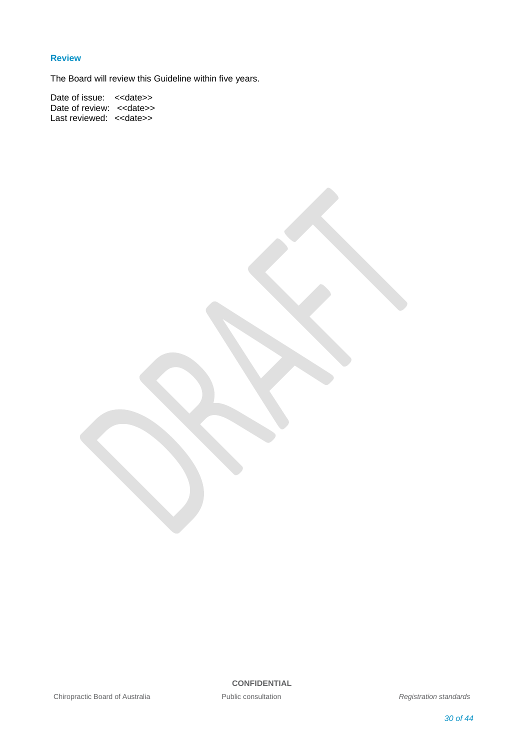### **Review**

The Board will review this Guideline within five years.

Date of issue: <<date>> Date of review: <<date>> Last reviewed: << date>>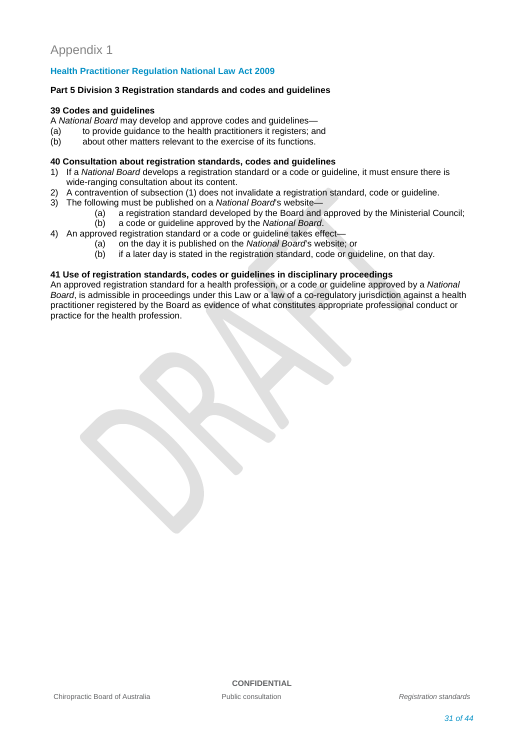### **Health Practitioner Regulation National Law Act 2009**

### **Part 5 Division 3 Registration standards and codes and guidelines**

### **39 Codes and guidelines**

- A *National Board* may develop and approve codes and guidelines—
- (a) to provide guidance to the health practitioners it registers; and (b) about other matters relevant to the exercise of its functions.
- about other matters relevant to the exercise of its functions.

### **40 Consultation about registration standards, codes and guidelines**

- 1) If a *National Board* develops a registration standard or a code or guideline, it must ensure there is wide-ranging consultation about its content.
- 2) A contravention of subsection (1) does not invalidate a registration standard, code or guideline.
- 3) The following must be published on a *National Board*'s website—
	- (a) a registration standard developed by the Board and approved by the Ministerial Council;<br>(b) a code or quideline approved by the National Board.
		- a code or guideline approved by the *National Board*.
- 4) An approved registration standard or a code or guideline takes effect-
	- (a) on the day it is published on the *National Board*'s website; or
	- if a later day is stated in the registration standard, code or guideline, on that day.

### **41 Use of registration standards, codes or guidelines in disciplinary proceedings**

An approved registration standard for a health profession, or a code or guideline approved by a *National Board*, is admissible in proceedings under this Law or a law of a co-regulatory jurisdiction against a health practitioner registered by the Board as evidence of what constitutes appropriate professional conduct or practice for the health profession.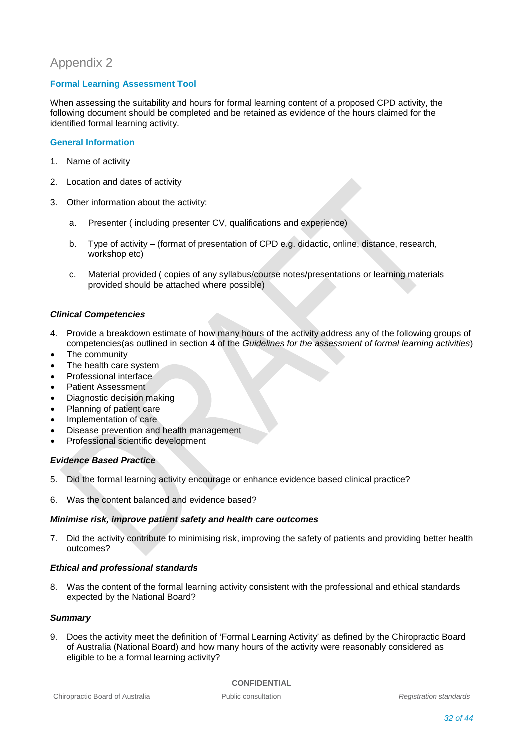## Appendix 2

### **Formal Learning Assessment Tool**

When assessing the suitability and hours for formal learning content of a proposed CPD activity, the following document should be completed and be retained as evidence of the hours claimed for the identified formal learning activity.

### **General Information**

- 1. Name of activity
- 2. Location and dates of activity
- 3. Other information about the activity:
	- a. Presenter ( including presenter CV, qualifications and experience)
	- b. Type of activity (format of presentation of CPD e.g. didactic, online, distance, research, workshop etc)
	- c. Material provided ( copies of any syllabus/course notes/presentations or learning materials provided should be attached where possible)

### *Clinical Competencies*

- 4. Provide a breakdown estimate of how many hours of the activity address any of the following groups of competencies(as outlined in section 4 of the *Guidelines for the assessment of formal learning activities*)
- The community
- The health care system
- Professional interface
- Patient Assessment
- Diagnostic decision making
- Planning of patient care
- Implementation of care
- Disease prevention and health management
- Professional scientific development

### *Evidence Based Practice*

- 5. Did the formal learning activity encourage or enhance evidence based clinical practice?
- 6. Was the content balanced and evidence based?

### *Minimise risk, improve patient safety and health care outcomes*

7. Did the activity contribute to minimising risk, improving the safety of patients and providing better health outcomes?

### *Ethical and professional standards*

8. Was the content of the formal learning activity consistent with the professional and ethical standards expected by the National Board?

### *Summary*

9. Does the activity meet the definition of 'Formal Learning Activity' as defined by the Chiropractic Board of Australia (National Board) and how many hours of the activity were reasonably considered as eligible to be a formal learning activity?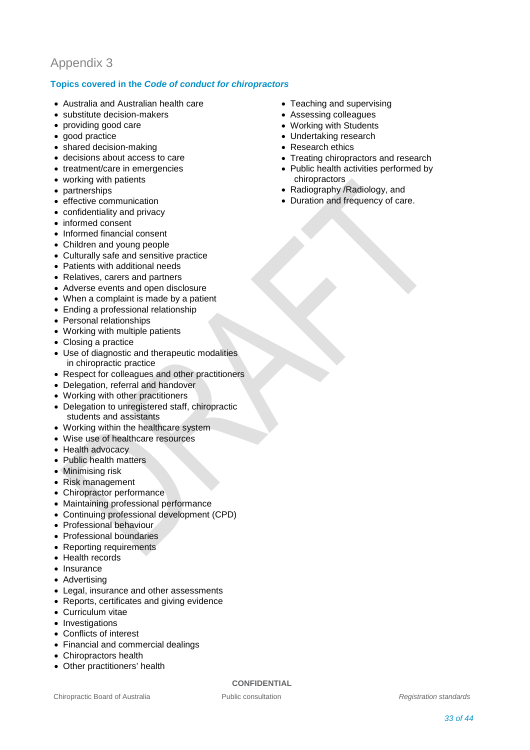## Appendix 3

### **Topics covered in the** *Code of conduct for chiropractors*

- Australia and Australian health care
- substitute decision-makers
- providing good care
- good practice
- shared decision-making
- decisions about access to care
- treatment/care in emergencies
- working with patients
- partnerships
- effective communication
- confidentiality and privacy
- informed consent
- Informed financial consent
- Children and young people
- Culturally safe and sensitive practice
- Patients with additional needs
- Relatives, carers and partners
- Adverse events and open disclosure
- When a complaint is made by a patient
- Ending a professional relationship
- Personal relationships
- Working with multiple patients
- Closing a practice
- Use of diagnostic and therapeutic modalities in chiropractic practice
- Respect for colleagues and other practitioners
- Delegation, referral and handover
- Working with other practitioners
- Delegation to unregistered staff, chiropractic students and assistants
- Working within the healthcare system
- Wise use of healthcare resources
- Health advocacy
- Public health matters
- Minimising risk
- Risk management
- Chiropractor performance
- Maintaining professional performance
- Continuing professional development (CPD)
- Professional behaviour
- Professional boundaries
- Reporting requirements
- Health records
- Insurance
- Advertising
- Legal, insurance and other assessments
- Reports, certificates and giving evidence
- Curriculum vitae
- Investigations
- Conflicts of interest
- Financial and commercial dealings
- Chiropractors health
- Other practitioners' health

- Teaching and supervising
- Assessing colleagues
- Working with Students
- Undertaking research
- Research ethics
- Treating chiropractors and research
- Public health activities performed by chiropractors
- Radiography /Radiology, and
- Duration and frequency of care.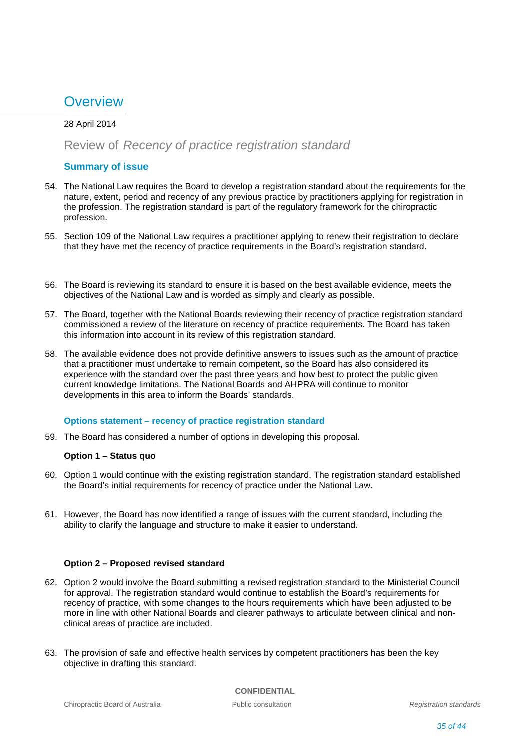# **Overview**

### 28 April 2014

### Review of *Recency of practice registration standard*

### **Summary of issue**

- 54. The National Law requires the Board to develop a registration standard about the requirements for the nature, extent, period and recency of any previous practice by practitioners applying for registration in the profession. The registration standard is part of the regulatory framework for the chiropractic profession.
- 55. Section 109 of the National Law requires a practitioner applying to renew their registration to declare that they have met the recency of practice requirements in the Board's registration standard.
- 56. The Board is reviewing its standard to ensure it is based on the best available evidence, meets the objectives of the National Law and is worded as simply and clearly as possible.
- 57. The Board, together with the National Boards reviewing their recency of practice registration standard commissioned a review of the literature on recency of practice requirements. The Board has taken this information into account in its review of this registration standard.
- 58. The available evidence does not provide definitive answers to issues such as the amount of practice that a practitioner must undertake to remain competent, so the Board has also considered its experience with the standard over the past three years and how best to protect the public given current knowledge limitations. The National Boards and AHPRA will continue to monitor developments in this area to inform the Boards' standards.

### **Options statement – recency of practice registration standard**

59. The Board has considered a number of options in developing this proposal.

### **Option 1 – Status quo**

- 60. Option 1 would continue with the existing registration standard. The registration standard established the Board's initial requirements for recency of practice under the National Law.
- 61. However, the Board has now identified a range of issues with the current standard, including the ability to clarify the language and structure to make it easier to understand.

### **Option 2 – Proposed revised standard**

- 62. Option 2 would involve the Board submitting a revised registration standard to the Ministerial Council for approval. The registration standard would continue to establish the Board's requirements for recency of practice, with some changes to the hours requirements which have been adjusted to be more in line with other National Boards and clearer pathways to articulate between clinical and nonclinical areas of practice are included.
- 63. The provision of safe and effective health services by competent practitioners has been the key objective in drafting this standard.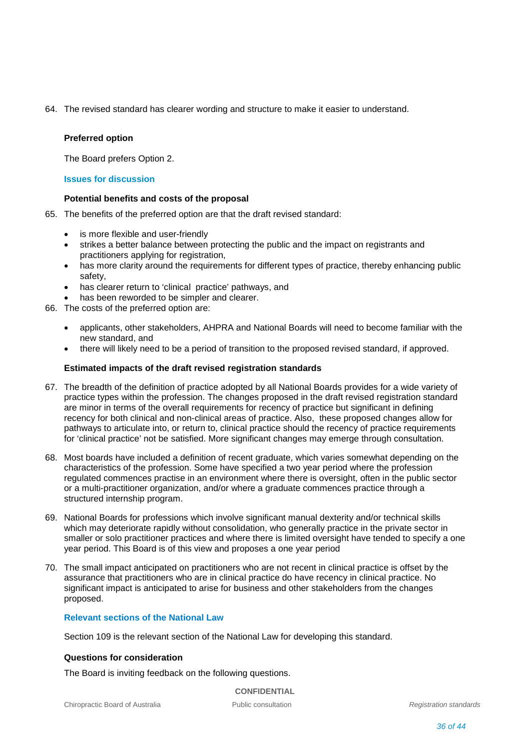64. The revised standard has clearer wording and structure to make it easier to understand.

### **Preferred option**

The Board prefers Option 2.

### **Issues for discussion**

### **Potential benefits and costs of the proposal**

- 65. The benefits of the preferred option are that the draft revised standard:
	- is more flexible and user-friendly
	- strikes a better balance between protecting the public and the impact on registrants and practitioners applying for registration,
	- has more clarity around the requirements for different types of practice, thereby enhancing public safety,
	- has clearer return to 'clinical practice' pathways, and
	- has been reworded to be simpler and clearer.
- 66. The costs of the preferred option are:
	- applicants, other stakeholders, AHPRA and National Boards will need to become familiar with the new standard, and
	- there will likely need to be a period of transition to the proposed revised standard, if approved.

### **Estimated impacts of the draft revised registration standards**

- 67. The breadth of the definition of practice adopted by all National Boards provides for a wide variety of practice types within the profession. The changes proposed in the draft revised registration standard are minor in terms of the overall requirements for recency of practice but significant in defining recency for both clinical and non-clinical areas of practice. Also, these proposed changes allow for pathways to articulate into, or return to, clinical practice should the recency of practice requirements for 'clinical practice' not be satisfied. More significant changes may emerge through consultation.
- 68. Most boards have included a definition of recent graduate, which varies somewhat depending on the characteristics of the profession. Some have specified a two year period where the profession regulated commences practise in an environment where there is oversight, often in the public sector or a multi-practitioner organization, and/or where a graduate commences practice through a structured internship program.
- 69. National Boards for professions which involve significant manual dexterity and/or technical skills which may deteriorate rapidly without consolidation, who generally practice in the private sector in smaller or solo practitioner practices and where there is limited oversight have tended to specify a one year period. This Board is of this view and proposes a one year period
- 70. The small impact anticipated on practitioners who are not recent in clinical practice is offset by the assurance that practitioners who are in clinical practice do have recency in clinical practice. No significant impact is anticipated to arise for business and other stakeholders from the changes proposed.

### **Relevant sections of the National Law**

Section 109 is the relevant section of the National Law for developing this standard.

### **Questions for consideration**

The Board is inviting feedback on the following questions.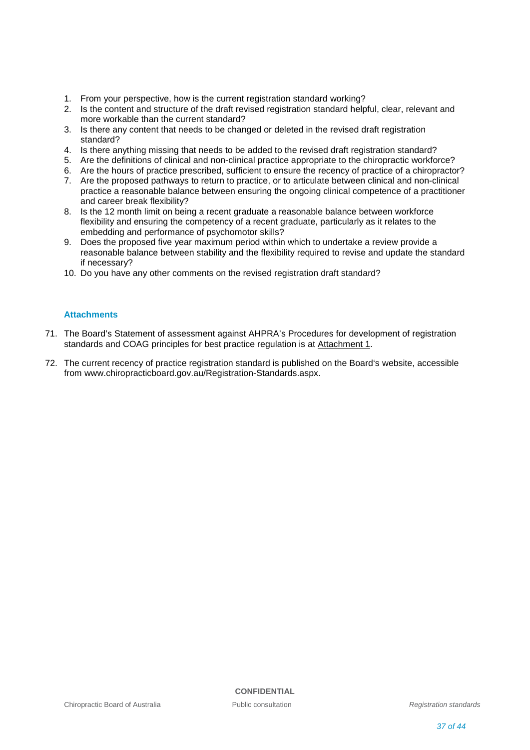- 1. From your perspective, how is the current registration standard working?
- 2. Is the content and structure of the draft revised registration standard helpful, clear, relevant and more workable than the current standard?
- 3. Is there any content that needs to be changed or deleted in the revised draft registration standard?
- 4. Is there anything missing that needs to be added to the revised draft registration standard?
- 5. Are the definitions of clinical and non-clinical practice appropriate to the chiropractic workforce?
- 6. Are the hours of practice prescribed, sufficient to ensure the recency of practice of a chiropractor?
- 7. Are the proposed pathways to return to practice, or to articulate between clinical and non-clinical practice a reasonable balance between ensuring the ongoing clinical competence of a practitioner and career break flexibility?
- 8. Is the 12 month limit on being a recent graduate a reasonable balance between workforce flexibility and ensuring the competency of a recent graduate, particularly as it relates to the embedding and performance of psychomotor skills?
- 9. Does the proposed five year maximum period within which to undertake a review provide a reasonable balance between stability and the flexibility required to revise and update the standard if necessary?
- 10. Do you have any other comments on the revised registration draft standard?

### **Attachments**

- 71. The Board's Statement of assessment against AHPRA's Procedures for development of registration standards and COAG principles for best practice regulation is at Attachment 1.
- 72. The current recency of practice registration standard is published on the Board's website, accessible from www.chiropracticboard.gov.au/Registration-Standards.aspx.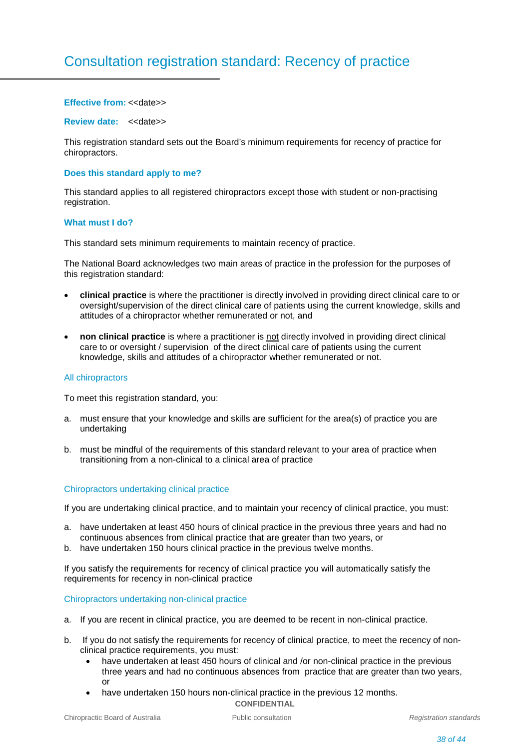# Consultation registration standard: Recency of practice

#### **Effective from: <<date>>**

#### **Review date:** << date>>

This registration standard sets out the Board's minimum requirements for recency of practice for chiropractors.

#### **Does this standard apply to me?**

This standard applies to all registered chiropractors except those with student or non-practising registration.

#### **What must I do?**

This standard sets minimum requirements to maintain recency of practice.

The National Board acknowledges two main areas of practice in the profession for the purposes of this registration standard:

- **clinical practice** is where the practitioner is directly involved in providing direct clinical care to or oversight/supervision of the direct clinical care of patients using the current knowledge, skills and attitudes of a chiropractor whether remunerated or not, and
- **non clinical practice** is where a practitioner is not directly involved in providing direct clinical care to or oversight / supervision of the direct clinical care of patients using the current knowledge, skills and attitudes of a chiropractor whether remunerated or not.

#### All chiropractors

To meet this registration standard, you:

- a. must ensure that your knowledge and skills are sufficient for the area(s) of practice you are undertaking
- b. must be mindful of the requirements of this standard relevant to your area of practice when transitioning from a non-clinical to a clinical area of practice

### Chiropractors undertaking clinical practice

If you are undertaking clinical practice, and to maintain your recency of clinical practice, you must:

- a. have undertaken at least 450 hours of clinical practice in the previous three years and had no continuous absences from clinical practice that are greater than two years, or
- b. have undertaken 150 hours clinical practice in the previous twelve months.

If you satisfy the requirements for recency of clinical practice you will automatically satisfy the requirements for recency in non-clinical practice

#### Chiropractors undertaking non-clinical practice

- a. If you are recent in clinical practice, you are deemed to be recent in non-clinical practice.
- b. If you do not satisfy the requirements for recency of clinical practice, to meet the recency of nonclinical practice requirements, you must:
	- have undertaken at least 450 hours of clinical and /or non-clinical practice in the previous three years and had no continuous absences from practice that are greater than two years, or
	- **CONFIDENTIAL** • have undertaken 150 hours non-clinical practice in the previous 12 months.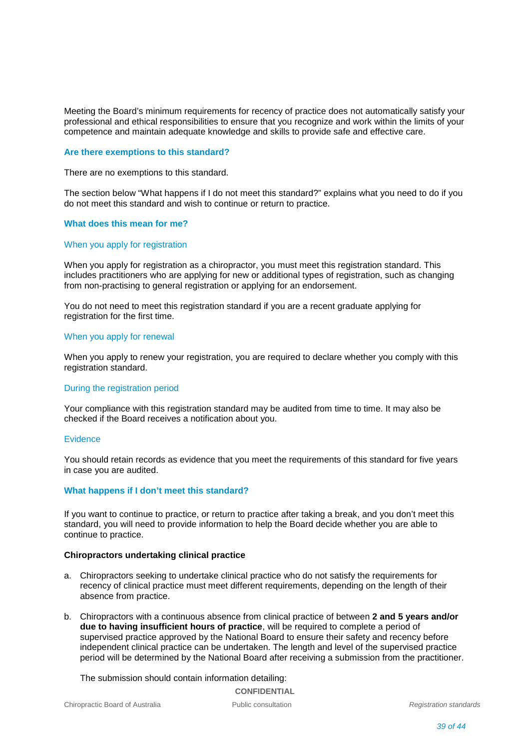Meeting the Board's minimum requirements for recency of practice does not automatically satisfy your professional and ethical responsibilities to ensure that you recognize and work within the limits of your competence and maintain adequate knowledge and skills to provide safe and effective care.

### **Are there exemptions to this standard?**

There are no exemptions to this standard.

The section below "What happens if I do not meet this standard?" explains what you need to do if you do not meet this standard and wish to continue or return to practice.

### **What does this mean for me?**

#### When you apply for registration

When you apply for registration as a chiropractor, you must meet this registration standard. This includes practitioners who are applying for new or additional types of registration, such as changing from non-practising to general registration or applying for an endorsement.

You do not need to meet this registration standard if you are a recent graduate applying for registration for the first time.

#### When you apply for renewal

When you apply to renew your registration, you are required to declare whether you comply with this registration standard.

#### During the registration period

Your compliance with this registration standard may be audited from time to time. It may also be checked if the Board receives a notification about you.

#### Evidence

You should retain records as evidence that you meet the requirements of this standard for five years in case you are audited.

### **What happens if I don't meet this standard?**

If you want to continue to practice, or return to practice after taking a break, and you don't meet this standard, you will need to provide information to help the Board decide whether you are able to continue to practice.

### **Chiropractors undertaking clinical practice**

- a. Chiropractors seeking to undertake clinical practice who do not satisfy the requirements for recency of clinical practice must meet different requirements, depending on the length of their absence from practice.
- b. Chiropractors with a continuous absence from clinical practice of between **2 and 5 years and/or due to having insufficient hours of practice**, will be required to complete a period of supervised practice approved by the National Board to ensure their safety and recency before independent clinical practice can be undertaken. The length and level of the supervised practice period will be determined by the National Board after receiving a submission from the practitioner.

The submission should contain information detailing: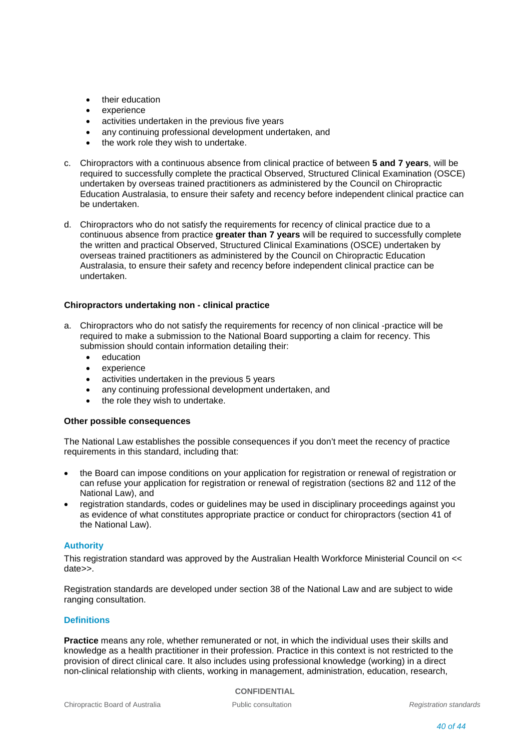- their education
- experience
- activities undertaken in the previous five years
- any continuing professional development undertaken, and
- the work role they wish to undertake.
- c. Chiropractors with a continuous absence from clinical practice of between **5 and 7 years**, will be required to successfully complete the practical Observed, Structured Clinical Examination (OSCE) undertaken by overseas trained practitioners as administered by the Council on Chiropractic Education Australasia, to ensure their safety and recency before independent clinical practice can be undertaken.
- d. Chiropractors who do not satisfy the requirements for recency of clinical practice due to a continuous absence from practice **greater than 7 years** will be required to successfully complete the written and practical Observed, Structured Clinical Examinations (OSCE) undertaken by overseas trained practitioners as administered by the Council on Chiropractic Education Australasia, to ensure their safety and recency before independent clinical practice can be undertaken.

### **Chiropractors undertaking non - clinical practice**

- a. Chiropractors who do not satisfy the requirements for recency of non clinical -practice will be required to make a submission to the National Board supporting a claim for recency. This submission should contain information detailing their:
	- education
	- experience
	- activities undertaken in the previous 5 years
	- any continuing professional development undertaken, and
	- the role they wish to undertake.

### **Other possible consequences**

The National Law establishes the possible consequences if you don't meet the recency of practice requirements in this standard, including that:

- the Board can impose conditions on your application for registration or renewal of registration or can refuse your application for registration or renewal of registration (sections 82 and 112 of the National Law), and
- registration standards, codes or guidelines may be used in disciplinary proceedings against you as evidence of what constitutes appropriate practice or conduct for chiropractors (section 41 of the National Law).

### **Authority**

This registration standard was approved by the Australian Health Workforce Ministerial Council on << date>>.

Registration standards are developed under section 38 of the National Law and are subject to wide ranging consultation.

### **Definitions**

**Practice** means any role, whether remunerated or not, in which the individual uses their skills and knowledge as a health practitioner in their profession. Practice in this context is not restricted to the provision of direct clinical care. It also includes using professional knowledge (working) in a direct non-clinical relationship with clients, working in management, administration, education, research,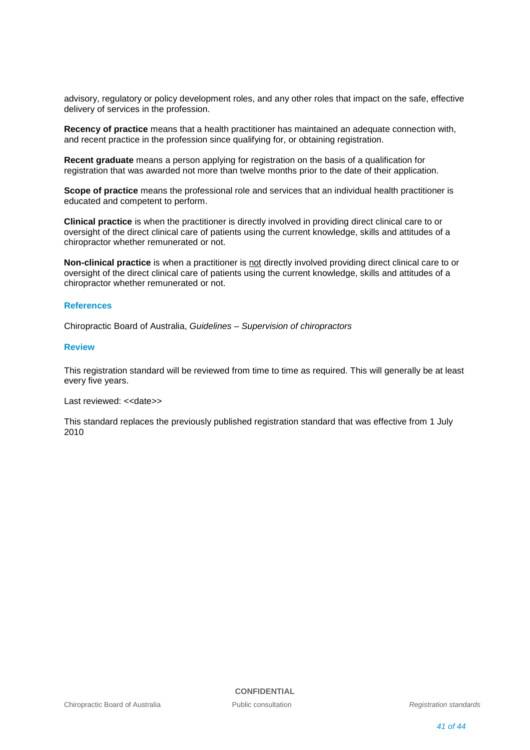advisory, regulatory or policy development roles, and any other roles that impact on the safe, effective delivery of services in the profession.

**Recency of practice** means that a health practitioner has maintained an adequate connection with, and recent practice in the profession since qualifying for, or obtaining registration.

**Recent graduate** means a person applying for registration on the basis of a qualification for registration that was awarded not more than twelve months prior to the date of their application.

**Scope of practice** means the professional role and services that an individual health practitioner is educated and competent to perform.

**Clinical practice** is when the practitioner is directly involved in providing direct clinical care to or oversight of the direct clinical care of patients using the current knowledge, skills and attitudes of a chiropractor whether remunerated or not.

**Non-clinical practice** is when a practitioner is not directly involved providing direct clinical care to or oversight of the direct clinical care of patients using the current knowledge, skills and attitudes of a chiropractor whether remunerated or not.

#### **References**

Chiropractic Board of Australia, *Guidelines – Supervision of chiropractors*

#### **Review**

This registration standard will be reviewed from time to time as required. This will generally be at least every five years.

Last reviewed: << date>>

This standard replaces the previously published registration standard that was effective from 1 July 2010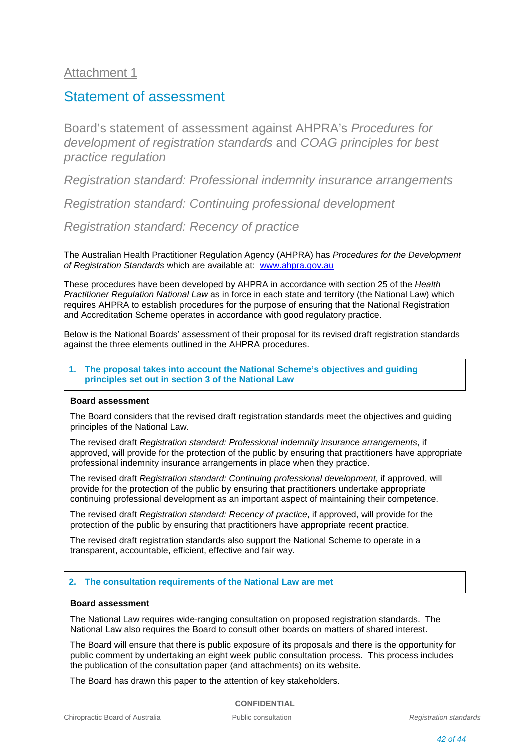## Attachment 1

## Statement of assessment

Board's statement of assessment against AHPRA's *Procedures for development of registration standards* and *COAG principles for best practice regulation*

*Registration standard: Professional indemnity insurance arrangements* 

*Registration standard: Continuing professional development* 

*Registration standard: Recency of practice* 

The Australian Health Practitioner Regulation Agency (AHPRA) has *Procedures for the Development of Registration Standards* which are available at: [www.ahpra.gov.au](http://www.ahpra.gov.au/)

These procedures have been developed by AHPRA in accordance with section 25 of the *Health Practitioner Regulation National Law* as in force in each state and territory (the National Law) which requires AHPRA to establish procedures for the purpose of ensuring that the National Registration and Accreditation Scheme operates in accordance with good regulatory practice.

Below is the National Boards' assessment of their proposal for its revised draft registration standards against the three elements outlined in the AHPRA procedures.

**1. The proposal takes into account the National Scheme's objectives and guiding principles set out in section 3 of the National Law**

### **Board assessment**

The Board considers that the revised draft registration standards meet the objectives and guiding principles of the National Law.

The revised draft *Registration standard: Professional indemnity insurance arrangements*, if approved, will provide for the protection of the public by ensuring that practitioners have appropriate professional indemnity insurance arrangements in place when they practice.

The revised draft *Registration standard: Continuing professional development*, if approved, will provide for the protection of the public by ensuring that practitioners undertake appropriate continuing professional development as an important aspect of maintaining their competence.

The revised draft *Registration standard: Recency of practice*, if approved, will provide for the protection of the public by ensuring that practitioners have appropriate recent practice.

The revised draft registration standards also support the National Scheme to operate in a transparent, accountable, efficient, effective and fair way.

### **2. The consultation requirements of the National Law are met**

### **Board assessment**

The National Law requires wide-ranging consultation on proposed registration standards. The National Law also requires the Board to consult other boards on matters of shared interest.

The Board will ensure that there is public exposure of its proposals and there is the opportunity for public comment by undertaking an eight week public consultation process. This process includes the publication of the consultation paper (and attachments) on its website.

The Board has drawn this paper to the attention of key stakeholders.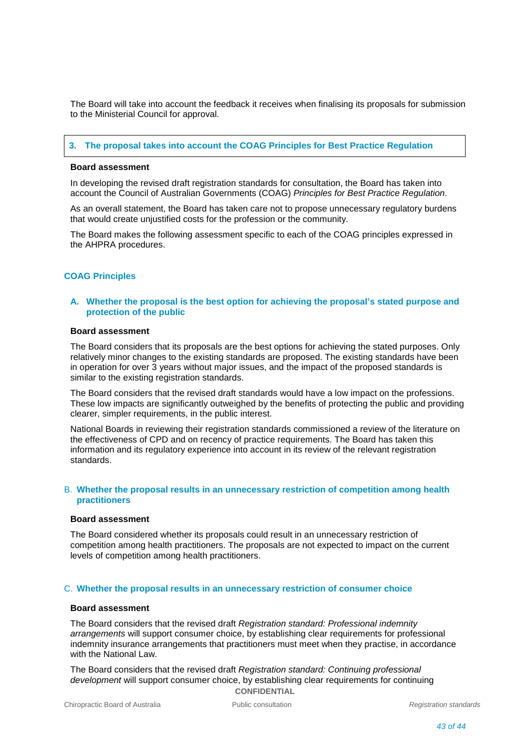The Board will take into account the feedback it receives when finalising its proposals for submission to the Ministerial Council for approval.

### **3. The proposal takes into account the COAG Principles for Best Practice Regulation**

#### **Board assessment**

In developing the revised draft registration standards for consultation, the Board has taken into account the Council of Australian Governments (COAG) *Principles for Best Practice Regulation*.

As an overall statement, the Board has taken care not to propose unnecessary regulatory burdens that would create unjustified costs for the profession or the community.

The Board makes the following assessment specific to each of the COAG principles expressed in the AHPRA procedures.

### **COAG Principles**

### **A. Whether the proposal is the best option for achieving the proposal's stated purpose and protection of the public**

### **Board assessment**

The Board considers that its proposals are the best options for achieving the stated purposes. Only relatively minor changes to the existing standards are proposed. The existing standards have been in operation for over 3 years without major issues, and the impact of the proposed standards is similar to the existing registration standards.

The Board considers that the revised draft standards would have a low impact on the professions. These low impacts are significantly outweighed by the benefits of protecting the public and providing clearer, simpler requirements, in the public interest.

National Boards in reviewing their registration standards commissioned a review of the literature on the effectiveness of CPD and on recency of practice requirements. The Board has taken this information and its regulatory experience into account in its review of the relevant registration standards.

### B. **Whether the proposal results in an unnecessary restriction of competition among health practitioners**

#### **Board assessment**

The Board considered whether its proposals could result in an unnecessary restriction of competition among health practitioners. The proposals are not expected to impact on the current levels of competition among health practitioners.

### C. **Whether the proposal results in an unnecessary restriction of consumer choice**

### **Board assessment**

The Board considers that the revised draft *Registration standard: Professional indemnity arrangements* will support consumer choice, by establishing clear requirements for professional indemnity insurance arrangements that practitioners must meet when they practise, in accordance with the National Law.

**CONFIDENTIAL** The Board considers that the revised draft *Registration standard: Continuing professional development* will support consumer choice, by establishing clear requirements for continuing